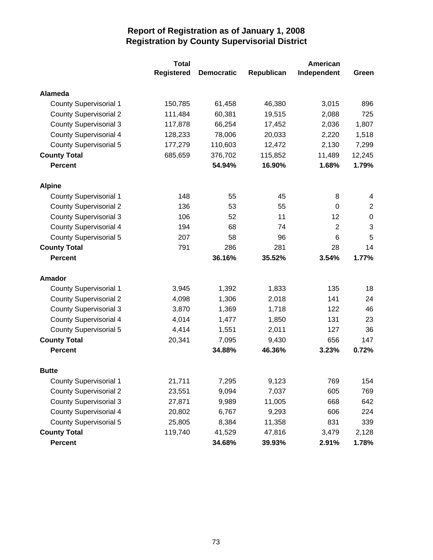|                               | <b>Total</b>      | American          |            |                |                           |
|-------------------------------|-------------------|-------------------|------------|----------------|---------------------------|
|                               | <b>Registered</b> | <b>Democratic</b> | Republican | Independent    | Green                     |
| Alameda                       |                   |                   |            |                |                           |
| <b>County Supervisorial 1</b> | 150,785           | 61,458            | 46,380     | 3,015          | 896                       |
| <b>County Supervisorial 2</b> | 111,484           | 60,381            | 19,515     | 2,088          | 725                       |
| <b>County Supervisorial 3</b> | 117,878           | 66,254            | 17,452     | 2,036          | 1,807                     |
| <b>County Supervisorial 4</b> | 128,233           | 78,006            | 20,033     | 2,220          | 1,518                     |
| <b>County Supervisorial 5</b> | 177,279           | 110,603           | 12,472     | 2,130          | 7,299                     |
| <b>County Total</b>           | 685,659           | 376,702           | 115,852    | 11,489         | 12,245                    |
| <b>Percent</b>                |                   | 54.94%            | 16.90%     | 1.68%          | 1.79%                     |
| <b>Alpine</b>                 |                   |                   |            |                |                           |
| <b>County Supervisorial 1</b> | 148               | 55                | 45         | 8              | 4                         |
| <b>County Supervisorial 2</b> | 136               | 53                | 55         | 0              | $\overline{2}$            |
| <b>County Supervisorial 3</b> | 106               | 52                | 11         | 12             | $\mathbf 0$               |
| <b>County Supervisorial 4</b> | 194               | 68                | 74         | $\overline{2}$ | $\ensuremath{\mathsf{3}}$ |
| <b>County Supervisorial 5</b> | 207               | 58                | 96         | 6              | 5                         |
| <b>County Total</b>           | 791               | 286               | 281        | 28             | 14                        |
| <b>Percent</b>                |                   | 36.16%            | 35.52%     | 3.54%          | 1.77%                     |
| Amador                        |                   |                   |            |                |                           |
| <b>County Supervisorial 1</b> | 3,945             | 1,392             | 1,833      | 135            | 18                        |
| <b>County Supervisorial 2</b> | 4,098             | 1,306             | 2,018      | 141            | 24                        |
| <b>County Supervisorial 3</b> | 3,870             | 1,369             | 1,718      | 122            | 46                        |
| <b>County Supervisorial 4</b> | 4,014             | 1,477             | 1,850      | 131            | 23                        |
| <b>County Supervisorial 5</b> | 4,414             | 1,551             | 2,011      | 127            | 36                        |
| <b>County Total</b>           | 20,341            | 7,095             | 9,430      | 656            | 147                       |
| <b>Percent</b>                |                   | 34.88%            | 46.36%     | 3.23%          | 0.72%                     |
| <b>Butte</b>                  |                   |                   |            |                |                           |
| <b>County Supervisorial 1</b> | 21,711            | 7,295             | 9,123      | 769            | 154                       |
| <b>County Supervisorial 2</b> | 23,551            | 9,094             | 7,037      | 605            | 769                       |
| <b>County Supervisorial 3</b> | 27,871            | 9,989             | 11,005     | 668            | 642                       |
| <b>County Supervisorial 4</b> | 20,802            | 6,767             | 9,293      | 606            | 224                       |
| <b>County Supervisorial 5</b> | 25,805            | 8,384             | 11,358     | 831            | 339                       |
| <b>County Total</b>           | 119,740           | 41,529            | 47,816     | 3,479          | 2,128                     |
| <b>Percent</b>                |                   | 34.68%            | 39.93%     | 2.91%          | 1.78%                     |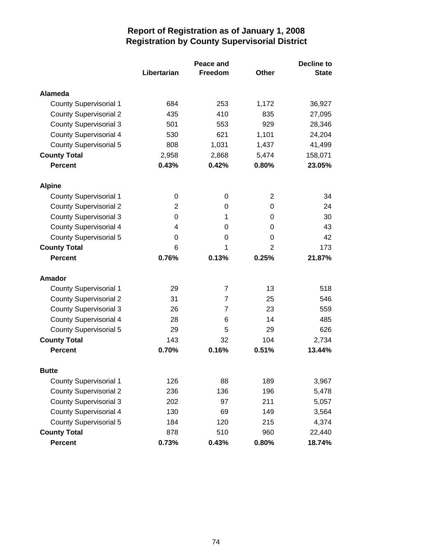|                               | Peace and   |                |                | <b>Decline to</b> |
|-------------------------------|-------------|----------------|----------------|-------------------|
|                               | Libertarian | Freedom        | <b>Other</b>   | <b>State</b>      |
| Alameda                       |             |                |                |                   |
| <b>County Supervisorial 1</b> | 684         | 253            | 1,172          | 36,927            |
| <b>County Supervisorial 2</b> | 435         | 410            | 835            | 27,095            |
| <b>County Supervisorial 3</b> | 501         | 553            | 929            | 28,346            |
| <b>County Supervisorial 4</b> | 530         | 621            | 1,101          | 24,204            |
| <b>County Supervisorial 5</b> | 808         | 1,031          | 1,437          | 41,499            |
| <b>County Total</b>           | 2,958       | 2,868          | 5,474          | 158,071           |
| <b>Percent</b>                | 0.43%       | 0.42%          | 0.80%          | 23.05%            |
| <b>Alpine</b>                 |             |                |                |                   |
| <b>County Supervisorial 1</b> | 0           | 0              | $\overline{2}$ | 34                |
| <b>County Supervisorial 2</b> | 2           | 0              | $\Omega$       | 24                |
| <b>County Supervisorial 3</b> | 0           | 1              | 0              | 30                |
| <b>County Supervisorial 4</b> | 4           | 0              | 0              | 43                |
| <b>County Supervisorial 5</b> | 0           | 0              | 0              | 42                |
| <b>County Total</b>           | 6           | 1              | 2              | 173               |
| <b>Percent</b>                | 0.76%       | 0.13%          | 0.25%          | 21.87%            |
| Amador                        |             |                |                |                   |
| <b>County Supervisorial 1</b> | 29          | $\overline{7}$ | 13             | 518               |
| <b>County Supervisorial 2</b> | 31          | 7              | 25             | 546               |
| <b>County Supervisorial 3</b> | 26          | $\overline{7}$ | 23             | 559               |
| <b>County Supervisorial 4</b> | 28          | 6              | 14             | 485               |
| <b>County Supervisorial 5</b> | 29          | 5              | 29             | 626               |
| <b>County Total</b>           | 143         | 32             | 104            | 2,734             |
| <b>Percent</b>                | 0.70%       | 0.16%          | 0.51%          | 13.44%            |
| <b>Butte</b>                  |             |                |                |                   |
| <b>County Supervisorial 1</b> | 126         | 88             | 189            | 3,967             |
| <b>County Supervisorial 2</b> | 236         | 136            | 196            | 5,478             |
| <b>County Supervisorial 3</b> | 202         | 97             | 211            | 5,057             |
| <b>County Supervisorial 4</b> | 130         | 69             | 149            | 3,564             |
| <b>County Supervisorial 5</b> | 184         | 120            | 215            | 4,374             |
| <b>County Total</b>           | 878         | 510            | 960            | 22,440            |
| Percent                       | 0.73%       | 0.43%          | $0.80\%$       | 18.74%            |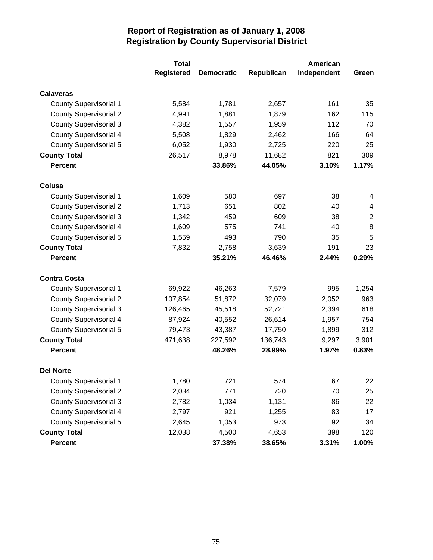|                               | <b>Total</b>      |                   |            | American    |             |
|-------------------------------|-------------------|-------------------|------------|-------------|-------------|
|                               | <b>Registered</b> | <b>Democratic</b> | Republican | Independent | Green       |
| <b>Calaveras</b>              |                   |                   |            |             |             |
| <b>County Supervisorial 1</b> | 5,584             | 1,781             | 2,657      | 161         | 35          |
| <b>County Supervisorial 2</b> | 4,991             | 1,881             | 1,879      | 162         | 115         |
| <b>County Supervisorial 3</b> | 4,382             | 1,557             | 1,959      | 112         | 70          |
| <b>County Supervisorial 4</b> | 5,508             | 1,829             | 2,462      | 166         | 64          |
| <b>County Supervisorial 5</b> | 6,052             | 1,930             | 2,725      | 220         | 25          |
| <b>County Total</b>           | 26,517            | 8,978             | 11,682     | 821         | 309         |
| <b>Percent</b>                |                   | 33.86%            | 44.05%     | 3.10%       | 1.17%       |
| Colusa                        |                   |                   |            |             |             |
| <b>County Supervisorial 1</b> | 1,609             | 580               | 697        | 38          | 4           |
| <b>County Supervisorial 2</b> | 1,713             | 651               | 802        | 40          | 4           |
| <b>County Supervisorial 3</b> | 1,342             | 459               | 609        | 38          | $\mathbf 2$ |
| <b>County Supervisorial 4</b> | 1,609             | 575               | 741        | 40          | 8           |
| <b>County Supervisorial 5</b> | 1,559             | 493               | 790        | 35          | 5           |
| <b>County Total</b>           | 7,832             | 2,758             | 3,639      | 191         | 23          |
| <b>Percent</b>                |                   | 35.21%            | 46.46%     | 2.44%       | 0.29%       |
| <b>Contra Costa</b>           |                   |                   |            |             |             |
| <b>County Supervisorial 1</b> | 69,922            | 46,263            | 7,579      | 995         | 1,254       |
| <b>County Supervisorial 2</b> | 107,854           | 51,872            | 32,079     | 2,052       | 963         |
| <b>County Supervisorial 3</b> | 126,465           | 45,518            | 52,721     | 2,394       | 618         |
| <b>County Supervisorial 4</b> | 87,924            | 40,552            | 26,614     | 1,957       | 754         |
| <b>County Supervisorial 5</b> | 79,473            | 43,387            | 17,750     | 1,899       | 312         |
| <b>County Total</b>           | 471,638           | 227,592           | 136,743    | 9,297       | 3,901       |
| <b>Percent</b>                |                   | 48.26%            | 28.99%     | 1.97%       | 0.83%       |
| <b>Del Norte</b>              |                   |                   |            |             |             |
| <b>County Supervisorial 1</b> | 1,780             | 721               | 574        | 67          | 22          |
| <b>County Supervisorial 2</b> | 2,034             | 771               | 720        | 70          | 25          |
| <b>County Supervisorial 3</b> | 2,782             | 1,034             | 1,131      | 86          | 22          |
| <b>County Supervisorial 4</b> | 2,797             | 921               | 1,255      | 83          | 17          |
| <b>County Supervisorial 5</b> | 2,645             | 1,053             | 973        | 92          | 34          |
| <b>County Total</b>           | 12,038            | 4,500             | 4,653      | 398         | 120         |
| Percent                       |                   | 37.38%            | 38.65%     | 3.31%       | 1.00%       |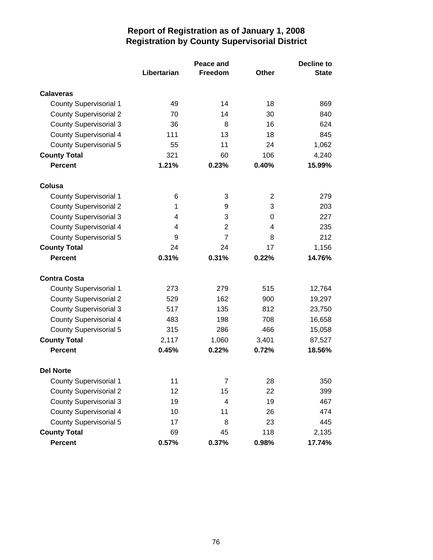|                               |             | <b>Decline to</b> |       |              |
|-------------------------------|-------------|-------------------|-------|--------------|
|                               | Libertarian | Freedom           | Other | <b>State</b> |
| <b>Calaveras</b>              |             |                   |       |              |
| <b>County Supervisorial 1</b> | 49          | 14                | 18    | 869          |
| <b>County Supervisorial 2</b> | 70          | 14                | 30    | 840          |
| <b>County Supervisorial 3</b> | 36          | 8                 | 16    | 624          |
| <b>County Supervisorial 4</b> | 111         | 13                | 18    | 845          |
| <b>County Supervisorial 5</b> | 55          | 11                | 24    | 1,062        |
| <b>County Total</b>           | 321         | 60                | 106   | 4,240        |
| <b>Percent</b>                | 1.21%       | 0.23%             | 0.40% | 15.99%       |
| Colusa                        |             |                   |       |              |
| <b>County Supervisorial 1</b> | 6           | 3                 | 2     | 279          |
| <b>County Supervisorial 2</b> | 1           | 9                 | 3     | 203          |
| <b>County Supervisorial 3</b> | 4           | 3                 | 0     | 227          |
| <b>County Supervisorial 4</b> | 4           | 2                 | 4     | 235          |
| <b>County Supervisorial 5</b> | 9           | $\overline{7}$    | 8     | 212          |
| <b>County Total</b>           | 24          | 24                | 17    | 1,156        |
| <b>Percent</b>                | 0.31%       | 0.31%             | 0.22% | 14.76%       |
| <b>Contra Costa</b>           |             |                   |       |              |
| <b>County Supervisorial 1</b> | 273         | 279               | 515   | 12,764       |
| <b>County Supervisorial 2</b> | 529         | 162               | 900   | 19,297       |
| <b>County Supervisorial 3</b> | 517         | 135               | 812   | 23,750       |
| <b>County Supervisorial 4</b> | 483         | 198               | 708   | 16,658       |
| <b>County Supervisorial 5</b> | 315         | 286               | 466   | 15,058       |
| <b>County Total</b>           | 2,117       | 1,060             | 3,401 | 87,527       |
| <b>Percent</b>                | 0.45%       | 0.22%             | 0.72% | 18.56%       |
| <b>Del Norte</b>              |             |                   |       |              |
| County Supervisorial 1        | 11          | 7                 | 28    | 350          |
| <b>County Supervisorial 2</b> | 12          | 15                | 22    | 399          |
| <b>County Supervisorial 3</b> | 19          | 4                 | 19    | 467          |
| <b>County Supervisorial 4</b> | 10          | 11                | 26    | 474          |
| <b>County Supervisorial 5</b> | 17          | 8                 | 23    | 445          |
| <b>County Total</b>           | 69          | 45                | 118   | 2,135        |
| <b>Percent</b>                | 0.57%       | 0.37%             | 0.98% | 17.74%       |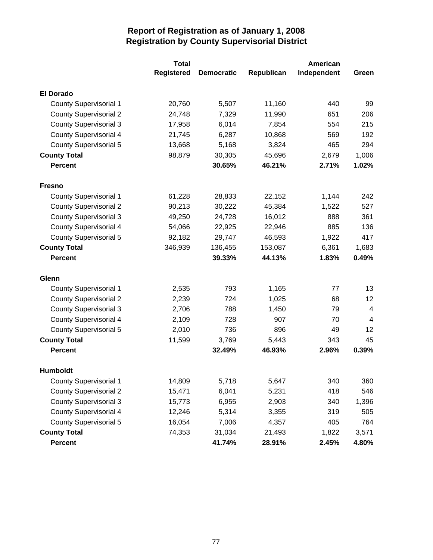|                               | <b>Total</b>      |                   |            | American    |                |
|-------------------------------|-------------------|-------------------|------------|-------------|----------------|
|                               | <b>Registered</b> | <b>Democratic</b> | Republican | Independent | Green          |
| <b>El Dorado</b>              |                   |                   |            |             |                |
| <b>County Supervisorial 1</b> | 20,760            | 5,507             | 11,160     | 440         | 99             |
| <b>County Supervisorial 2</b> | 24,748            | 7,329             | 11,990     | 651         | 206            |
| <b>County Supervisorial 3</b> | 17,958            | 6,014             | 7,854      | 554         | 215            |
| <b>County Supervisorial 4</b> | 21,745            | 6,287             | 10,868     | 569         | 192            |
| <b>County Supervisorial 5</b> | 13,668            | 5,168             | 3,824      | 465         | 294            |
| <b>County Total</b>           | 98,879            | 30,305            | 45,696     | 2,679       | 1,006          |
| <b>Percent</b>                |                   | 30.65%            | 46.21%     | 2.71%       | 1.02%          |
| <b>Fresno</b>                 |                   |                   |            |             |                |
| <b>County Supervisorial 1</b> | 61,228            | 28,833            | 22,152     | 1,144       | 242            |
| <b>County Supervisorial 2</b> | 90,213            | 30,222            | 45,384     | 1,522       | 527            |
| <b>County Supervisorial 3</b> | 49,250            | 24,728            | 16,012     | 888         | 361            |
| <b>County Supervisorial 4</b> | 54,066            | 22,925            | 22,946     | 885         | 136            |
| County Supervisorial 5        | 92,182            | 29,747            | 46,593     | 1,922       | 417            |
| <b>County Total</b>           | 346,939           | 136,455           | 153,087    | 6,361       | 1,683          |
| <b>Percent</b>                |                   | 39.33%            | 44.13%     | 1.83%       | 0.49%          |
| Glenn                         |                   |                   |            |             |                |
| <b>County Supervisorial 1</b> | 2,535             | 793               | 1,165      | 77          | 13             |
| <b>County Supervisorial 2</b> | 2,239             | 724               | 1,025      | 68          | 12             |
| <b>County Supervisorial 3</b> | 2,706             | 788               | 1,450      | 79          | 4              |
| <b>County Supervisorial 4</b> | 2,109             | 728               | 907        | 70          | $\overline{4}$ |
| County Supervisorial 5        | 2,010             | 736               | 896        | 49          | 12             |
| <b>County Total</b>           | 11,599            | 3,769             | 5,443      | 343         | 45             |
| <b>Percent</b>                |                   | 32.49%            | 46.93%     | 2.96%       | 0.39%          |
| <b>Humboldt</b>               |                   |                   |            |             |                |
| <b>County Supervisorial 1</b> | 14,809            | 5,718             | 5,647      | 340         | 360            |
| <b>County Supervisorial 2</b> | 15,471            | 6,041             | 5,231      | 418         | 546            |
| <b>County Supervisorial 3</b> | 15,773            | 6,955             | 2,903      | 340         | 1,396          |
| <b>County Supervisorial 4</b> | 12,246            | 5,314             | 3,355      | 319         | 505            |
| <b>County Supervisorial 5</b> | 16,054            | 7,006             | 4,357      | 405         | 764            |
| <b>County Total</b>           | 74,353            | 31,034            | 21,493     | 1,822       | 3,571          |
| Percent                       |                   | 41.74%            | 28.91%     | 2.45%       | 4.80%          |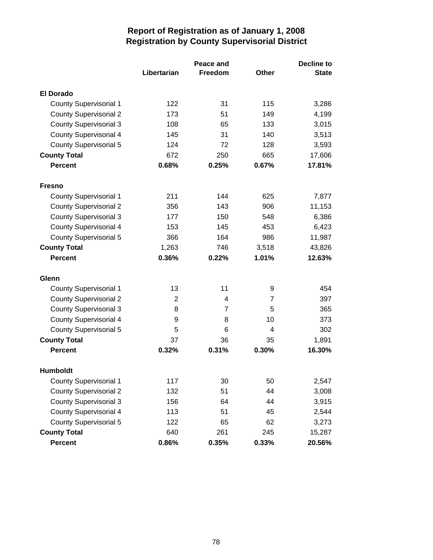|                               |             | <b>Decline to</b> |              |              |
|-------------------------------|-------------|-------------------|--------------|--------------|
|                               | Libertarian | Freedom           | <b>Other</b> | <b>State</b> |
| <b>El Dorado</b>              |             |                   |              |              |
| <b>County Supervisorial 1</b> | 122         | 31                | 115          | 3,286        |
| <b>County Supervisorial 2</b> | 173         | 51                | 149          | 4,199        |
| <b>County Supervisorial 3</b> | 108         | 65                | 133          | 3,015        |
| <b>County Supervisorial 4</b> | 145         | 31                | 140          | 3,513        |
| <b>County Supervisorial 5</b> | 124         | 72                | 128          | 3,593        |
| <b>County Total</b>           | 672         | 250               | 665          | 17,606       |
| <b>Percent</b>                | 0.68%       | 0.25%             | 0.67%        | 17.81%       |
| <b>Fresno</b>                 |             |                   |              |              |
| <b>County Supervisorial 1</b> | 211         | 144               | 625          | 7,877        |
| <b>County Supervisorial 2</b> | 356         | 143               | 906          | 11,153       |
| <b>County Supervisorial 3</b> | 177         | 150               | 548          | 6,386        |
| <b>County Supervisorial 4</b> | 153         | 145               | 453          | 6,423        |
| <b>County Supervisorial 5</b> | 366         | 164               | 986          | 11,987       |
| <b>County Total</b>           | 1,263       | 746               | 3,518        | 43,826       |
| <b>Percent</b>                | 0.36%       | 0.22%             | 1.01%        | 12.63%       |
| Glenn                         |             |                   |              |              |
| <b>County Supervisorial 1</b> | 13          | 11                | 9            | 454          |
| <b>County Supervisorial 2</b> | 2           | 4                 | 7            | 397          |
| <b>County Supervisorial 3</b> | 8           | $\overline{7}$    | 5            | 365          |
| <b>County Supervisorial 4</b> | 9           | 8                 | 10           | 373          |
| <b>County Supervisorial 5</b> | 5           | 6                 | 4            | 302          |
| <b>County Total</b>           | 37          | 36                | 35           | 1,891        |
| <b>Percent</b>                | 0.32%       | 0.31%             | 0.30%        | 16.30%       |
| <b>Humboldt</b>               |             |                   |              |              |
| <b>County Supervisorial 1</b> | 117         | 30                | 50           | 2,547        |
| <b>County Supervisorial 2</b> | 132         | 51                | 44           | 3,008        |
| <b>County Supervisorial 3</b> | 156         | 64                | 44           | 3,915        |
| <b>County Supervisorial 4</b> | 113         | 51                | 45           | 2,544        |
| <b>County Supervisorial 5</b> | 122         | 65                | 62           | 3,273        |
| <b>County Total</b>           | 640         | 261               | 245          | 15,287       |
| <b>Percent</b>                | 0.86%       | 0.35%             | 0.33%        | 20.56%       |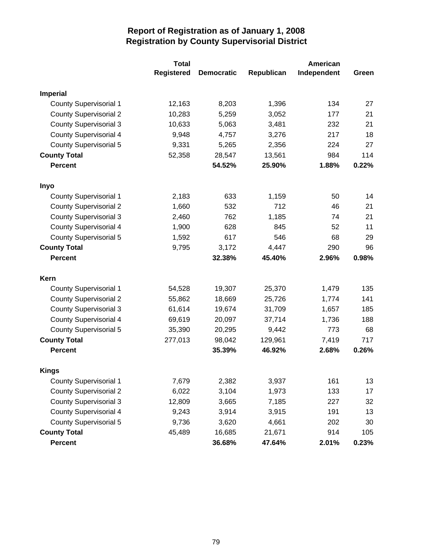|                               | <b>Total</b>      |                   |            | American    |       |  |
|-------------------------------|-------------------|-------------------|------------|-------------|-------|--|
|                               | <b>Registered</b> | <b>Democratic</b> | Republican | Independent | Green |  |
| <b>Imperial</b>               |                   |                   |            |             |       |  |
| <b>County Supervisorial 1</b> | 12,163            | 8,203             | 1,396      | 134         | 27    |  |
| <b>County Supervisorial 2</b> | 10,283            | 5,259             | 3,052      | 177         | 21    |  |
| <b>County Supervisorial 3</b> | 10,633            | 5,063             | 3,481      | 232         | 21    |  |
| <b>County Supervisorial 4</b> | 9,948             | 4,757             | 3,276      | 217         | 18    |  |
| <b>County Supervisorial 5</b> | 9,331             | 5,265             | 2,356      | 224         | 27    |  |
| <b>County Total</b>           | 52,358            | 28,547            | 13,561     | 984         | 114   |  |
| <b>Percent</b>                |                   | 54.52%            | 25.90%     | 1.88%       | 0.22% |  |
| Inyo                          |                   |                   |            |             |       |  |
| <b>County Supervisorial 1</b> | 2,183             | 633               | 1,159      | 50          | 14    |  |
| <b>County Supervisorial 2</b> | 1,660             | 532               | 712        | 46          | 21    |  |
| <b>County Supervisorial 3</b> | 2,460             | 762               | 1,185      | 74          | 21    |  |
| <b>County Supervisorial 4</b> | 1,900             | 628               | 845        | 52          | 11    |  |
| <b>County Supervisorial 5</b> | 1,592             | 617               | 546        | 68          | 29    |  |
| <b>County Total</b>           | 9,795             | 3,172             | 4,447      | 290         | 96    |  |
| <b>Percent</b>                |                   | 32.38%            | 45.40%     | 2.96%       | 0.98% |  |
| Kern                          |                   |                   |            |             |       |  |
| <b>County Supervisorial 1</b> | 54,528            | 19,307            | 25,370     | 1,479       | 135   |  |
| <b>County Supervisorial 2</b> | 55,862            | 18,669            | 25,726     | 1,774       | 141   |  |
| <b>County Supervisorial 3</b> | 61,614            | 19,674            | 31,709     | 1,657       | 185   |  |
| <b>County Supervisorial 4</b> | 69,619            | 20,097            | 37,714     | 1,736       | 188   |  |
| <b>County Supervisorial 5</b> | 35,390            | 20,295            | 9,442      | 773         | 68    |  |
| <b>County Total</b>           | 277,013           | 98,042            | 129,961    | 7,419       | 717   |  |
| <b>Percent</b>                |                   | 35.39%            | 46.92%     | 2.68%       | 0.26% |  |
| <b>Kings</b>                  |                   |                   |            |             |       |  |
| <b>County Supervisorial 1</b> | 7,679             | 2,382             | 3,937      | 161         | 13    |  |
| <b>County Supervisorial 2</b> | 6,022             | 3,104             | 1,973      | 133         | 17    |  |
| <b>County Supervisorial 3</b> | 12,809            | 3,665             | 7,185      | 227         | 32    |  |
| <b>County Supervisorial 4</b> | 9,243             | 3,914             | 3,915      | 191         | 13    |  |
| <b>County Supervisorial 5</b> | 9,736             | 3,620             | 4,661      | 202         | 30    |  |
| <b>County Total</b>           | 45,489            | 16,685            | 21,671     | 914         | 105   |  |
| Percent                       |                   | 36.68%            | 47.64%     | 2.01%       | 0.23% |  |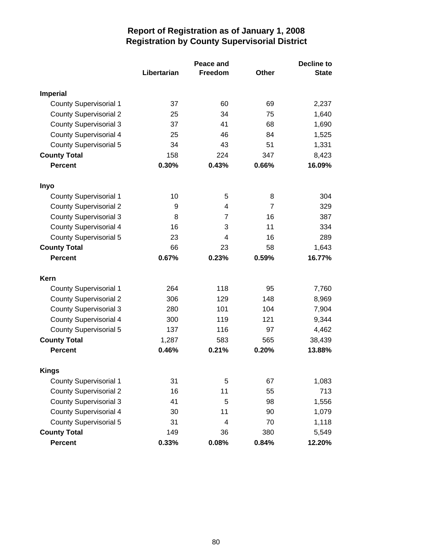|                               | Peace and   |                |              | <b>Decline to</b> |  |
|-------------------------------|-------------|----------------|--------------|-------------------|--|
|                               | Libertarian | Freedom        | <b>Other</b> | <b>State</b>      |  |
| <b>Imperial</b>               |             |                |              |                   |  |
| <b>County Supervisorial 1</b> | 37          | 60             | 69           | 2,237             |  |
| <b>County Supervisorial 2</b> | 25          | 34             | 75           | 1,640             |  |
| <b>County Supervisorial 3</b> | 37          | 41             | 68           | 1,690             |  |
| <b>County Supervisorial 4</b> | 25          | 46             | 84           | 1,525             |  |
| <b>County Supervisorial 5</b> | 34          | 43             | 51           | 1,331             |  |
| <b>County Total</b>           | 158         | 224            | 347          | 8,423             |  |
| <b>Percent</b>                | 0.30%       | 0.43%          | 0.66%        | 16.09%            |  |
| Inyo                          |             |                |              |                   |  |
| <b>County Supervisorial 1</b> | 10          | 5              | 8            | 304               |  |
| <b>County Supervisorial 2</b> | 9           | 4              | 7            | 329               |  |
| <b>County Supervisorial 3</b> | 8           | $\overline{7}$ | 16           | 387               |  |
| <b>County Supervisorial 4</b> | 16          | 3              | 11           | 334               |  |
| <b>County Supervisorial 5</b> | 23          | 4              | 16           | 289               |  |
| <b>County Total</b>           | 66          | 23             | 58           | 1,643             |  |
| <b>Percent</b>                | 0.67%       | 0.23%          | 0.59%        | 16.77%            |  |
| Kern                          |             |                |              |                   |  |
| <b>County Supervisorial 1</b> | 264         | 118            | 95           | 7,760             |  |
| <b>County Supervisorial 2</b> | 306         | 129            | 148          | 8,969             |  |
| <b>County Supervisorial 3</b> | 280         | 101            | 104          | 7,904             |  |
| <b>County Supervisorial 4</b> | 300         | 119            | 121          | 9,344             |  |
| <b>County Supervisorial 5</b> | 137         | 116            | 97           | 4,462             |  |
| <b>County Total</b>           | 1,287       | 583            | 565          | 38,439            |  |
| <b>Percent</b>                | 0.46%       | 0.21%          | 0.20%        | 13.88%            |  |
| <b>Kings</b>                  |             |                |              |                   |  |
| County Supervisorial 1        | 31          | 5              | 67           | 1,083             |  |
| <b>County Supervisorial 2</b> | 16          | 11             | 55           | 713               |  |
| <b>County Supervisorial 3</b> | 41          | 5              | 98           | 1,556             |  |
| <b>County Supervisorial 4</b> | 30          | 11             | 90           | 1,079             |  |
| <b>County Supervisorial 5</b> | 31          | 4              | 70           | 1,118             |  |
| <b>County Total</b>           | 149         | 36             | 380          | 5,549             |  |
| <b>Percent</b>                | 0.33%       | 0.08%          | 0.84%        | 12.20%            |  |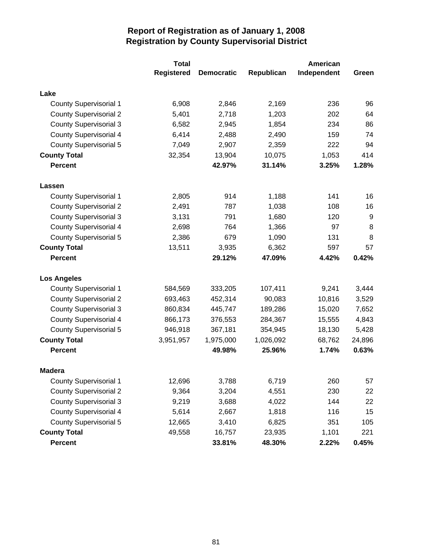|                               | <b>Total</b>      |                   |            | American    |        |
|-------------------------------|-------------------|-------------------|------------|-------------|--------|
|                               | <b>Registered</b> | <b>Democratic</b> | Republican | Independent | Green  |
| Lake                          |                   |                   |            |             |        |
| <b>County Supervisorial 1</b> | 6,908             | 2,846             | 2,169      | 236         | 96     |
| <b>County Supervisorial 2</b> | 5,401             | 2,718             | 1,203      | 202         | 64     |
| <b>County Supervisorial 3</b> | 6,582             | 2,945             | 1,854      | 234         | 86     |
| <b>County Supervisorial 4</b> | 6,414             | 2,488             | 2,490      | 159         | 74     |
| <b>County Supervisorial 5</b> | 7,049             | 2,907             | 2,359      | 222         | 94     |
| <b>County Total</b>           | 32,354            | 13,904            | 10,075     | 1,053       | 414    |
| <b>Percent</b>                |                   | 42.97%            | 31.14%     | 3.25%       | 1.28%  |
| Lassen                        |                   |                   |            |             |        |
| <b>County Supervisorial 1</b> | 2,805             | 914               | 1,188      | 141         | 16     |
| <b>County Supervisorial 2</b> | 2,491             | 787               | 1,038      | 108         | 16     |
| <b>County Supervisorial 3</b> | 3,131             | 791               | 1,680      | 120         | 9      |
| <b>County Supervisorial 4</b> | 2,698             | 764               | 1,366      | 97          | 8      |
| <b>County Supervisorial 5</b> | 2,386             | 679               | 1,090      | 131         | 8      |
| <b>County Total</b>           | 13,511            | 3,935             | 6,362      | 597         | 57     |
| <b>Percent</b>                |                   | 29.12%            | 47.09%     | 4.42%       | 0.42%  |
| <b>Los Angeles</b>            |                   |                   |            |             |        |
| <b>County Supervisorial 1</b> | 584,569           | 333,205           | 107,411    | 9,241       | 3,444  |
| <b>County Supervisorial 2</b> | 693,463           | 452,314           | 90,083     | 10,816      | 3,529  |
| <b>County Supervisorial 3</b> | 860,834           | 445,747           | 189,286    | 15,020      | 7,652  |
| <b>County Supervisorial 4</b> | 866,173           | 376,553           | 284,367    | 15,555      | 4,843  |
| <b>County Supervisorial 5</b> | 946,918           | 367,181           | 354,945    | 18,130      | 5,428  |
| <b>County Total</b>           | 3,951,957         | 1,975,000         | 1,026,092  | 68,762      | 24,896 |
| <b>Percent</b>                |                   | 49.98%            | 25.96%     | 1.74%       | 0.63%  |
| <b>Madera</b>                 |                   |                   |            |             |        |
| <b>County Supervisorial 1</b> | 12,696            | 3,788             | 6,719      | 260         | 57     |
| <b>County Supervisorial 2</b> | 9,364             | 3,204             | 4,551      | 230         | 22     |
| <b>County Supervisorial 3</b> | 9,219             | 3,688             | 4,022      | 144         | 22     |
| <b>County Supervisorial 4</b> | 5,614             | 2,667             | 1,818      | 116         | 15     |
| <b>County Supervisorial 5</b> | 12,665            | 3,410             | 6,825      | 351         | 105    |
| <b>County Total</b>           | 49,558            | 16,757            | 23,935     | 1,101       | 221    |
| <b>Percent</b>                |                   | 33.81%            | 48.30%     | 2.22%       | 0.45%  |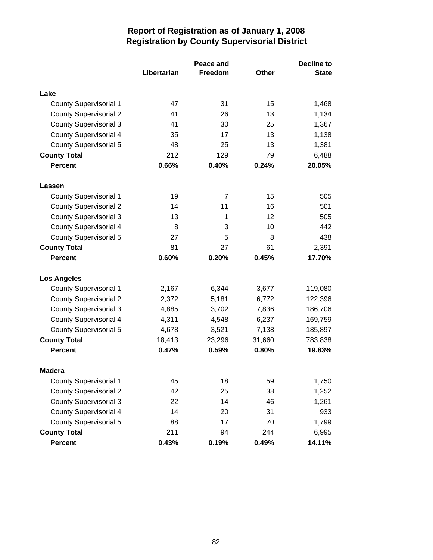|                               |             | <b>Decline to</b> |        |              |
|-------------------------------|-------------|-------------------|--------|--------------|
|                               | Libertarian | <b>Freedom</b>    | Other  | <b>State</b> |
| Lake                          |             |                   |        |              |
| <b>County Supervisorial 1</b> | 47          | 31                | 15     | 1,468        |
| <b>County Supervisorial 2</b> | 41          | 26                | 13     | 1,134        |
| <b>County Supervisorial 3</b> | 41          | 30                | 25     | 1,367        |
| <b>County Supervisorial 4</b> | 35          | 17                | 13     | 1,138        |
| <b>County Supervisorial 5</b> | 48          | 25                | 13     | 1,381        |
| <b>County Total</b>           | 212         | 129               | 79     | 6,488        |
| <b>Percent</b>                | 0.66%       | 0.40%             | 0.24%  | 20.05%       |
| Lassen                        |             |                   |        |              |
| <b>County Supervisorial 1</b> | 19          | $\overline{7}$    | 15     | 505          |
| <b>County Supervisorial 2</b> | 14          | 11                | 16     | 501          |
| <b>County Supervisorial 3</b> | 13          | 1                 | 12     | 505          |
| <b>County Supervisorial 4</b> | 8           | 3                 | 10     | 442          |
| <b>County Supervisorial 5</b> | 27          | 5                 | 8      | 438          |
| <b>County Total</b>           | 81          | 27                | 61     | 2,391        |
| <b>Percent</b>                | 0.60%       | 0.20%             | 0.45%  | 17.70%       |
| <b>Los Angeles</b>            |             |                   |        |              |
| <b>County Supervisorial 1</b> | 2,167       | 6,344             | 3,677  | 119,080      |
| <b>County Supervisorial 2</b> | 2,372       | 5,181             | 6,772  | 122,396      |
| <b>County Supervisorial 3</b> | 4,885       | 3,702             | 7,836  | 186,706      |
| <b>County Supervisorial 4</b> | 4,311       | 4,548             | 6,237  | 169,759      |
| <b>County Supervisorial 5</b> | 4,678       | 3,521             | 7,138  | 185,897      |
| <b>County Total</b>           | 18,413      | 23,296            | 31,660 | 783,838      |
| <b>Percent</b>                | 0.47%       | 0.59%             | 0.80%  | 19.83%       |
| <b>Madera</b>                 |             |                   |        |              |
| <b>County Supervisorial 1</b> | 45          | 18                | 59     | 1,750        |
| <b>County Supervisorial 2</b> | 42          | 25                | 38     | 1,252        |
| <b>County Supervisorial 3</b> | 22          | 14                | 46     | 1,261        |
| <b>County Supervisorial 4</b> | 14          | 20                | 31     | 933          |
| <b>County Supervisorial 5</b> | 88          | 17                | 70     | 1,799        |
| <b>County Total</b>           | 211         | 94                | 244    | 6,995        |
| <b>Percent</b>                | 0.43%       | 0.19%             | 0.49%  | 14.11%       |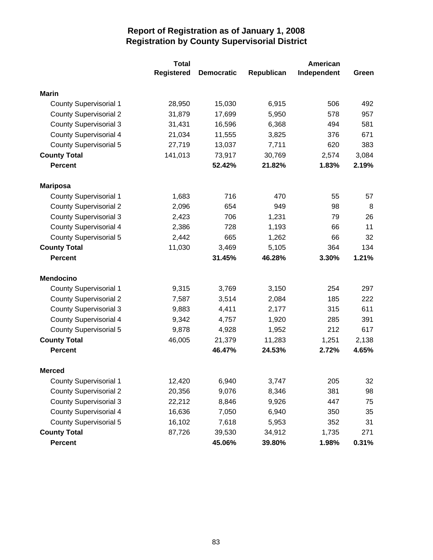|                               | <b>Total</b>      |                   |            | American    |       |
|-------------------------------|-------------------|-------------------|------------|-------------|-------|
|                               | <b>Registered</b> | <b>Democratic</b> | Republican | Independent | Green |
| <b>Marin</b>                  |                   |                   |            |             |       |
| <b>County Supervisorial 1</b> | 28,950            | 15,030            | 6,915      | 506         | 492   |
| <b>County Supervisorial 2</b> | 31,879            | 17,699            | 5,950      | 578         | 957   |
| <b>County Supervisorial 3</b> | 31,431            | 16,596            | 6,368      | 494         | 581   |
| <b>County Supervisorial 4</b> | 21,034            | 11,555            | 3,825      | 376         | 671   |
| <b>County Supervisorial 5</b> | 27,719            | 13,037            | 7,711      | 620         | 383   |
| <b>County Total</b>           | 141,013           | 73,917            | 30,769     | 2,574       | 3,084 |
| <b>Percent</b>                |                   | 52.42%            | 21.82%     | 1.83%       | 2.19% |
| <b>Mariposa</b>               |                   |                   |            |             |       |
| <b>County Supervisorial 1</b> | 1,683             | 716               | 470        | 55          | 57    |
| <b>County Supervisorial 2</b> | 2,096             | 654               | 949        | 98          | 8     |
| <b>County Supervisorial 3</b> | 2,423             | 706               | 1,231      | 79          | 26    |
| <b>County Supervisorial 4</b> | 2,386             | 728               | 1,193      | 66          | 11    |
| <b>County Supervisorial 5</b> | 2,442             | 665               | 1,262      | 66          | 32    |
| <b>County Total</b>           | 11,030            | 3,469             | 5,105      | 364         | 134   |
| <b>Percent</b>                |                   | 31.45%            | 46.28%     | 3.30%       | 1.21% |
| <b>Mendocino</b>              |                   |                   |            |             |       |
| <b>County Supervisorial 1</b> | 9,315             | 3,769             | 3,150      | 254         | 297   |
| <b>County Supervisorial 2</b> | 7,587             | 3,514             | 2,084      | 185         | 222   |
| <b>County Supervisorial 3</b> | 9,883             | 4,411             | 2,177      | 315         | 611   |
| <b>County Supervisorial 4</b> | 9,342             | 4,757             | 1,920      | 285         | 391   |
| <b>County Supervisorial 5</b> | 9,878             | 4,928             | 1,952      | 212         | 617   |
| <b>County Total</b>           | 46,005            | 21,379            | 11,283     | 1,251       | 2,138 |
| <b>Percent</b>                |                   | 46.47%            | 24.53%     | 2.72%       | 4.65% |
| <b>Merced</b>                 |                   |                   |            |             |       |
| <b>County Supervisorial 1</b> | 12,420            | 6,940             | 3,747      | 205         | 32    |
| <b>County Supervisorial 2</b> | 20,356            | 9,076             | 8,346      | 381         | 98    |
| <b>County Supervisorial 3</b> | 22,212            | 8,846             | 9,926      | 447         | 75    |
| <b>County Supervisorial 4</b> | 16,636            | 7,050             | 6,940      | 350         | 35    |
| <b>County Supervisorial 5</b> | 16,102            | 7,618             | 5,953      | 352         | 31    |
| <b>County Total</b>           | 87,726            | 39,530            | 34,912     | 1,735       | 271   |
| <b>Percent</b>                |                   | 45.06%            | 39.80%     | 1.98%       | 0.31% |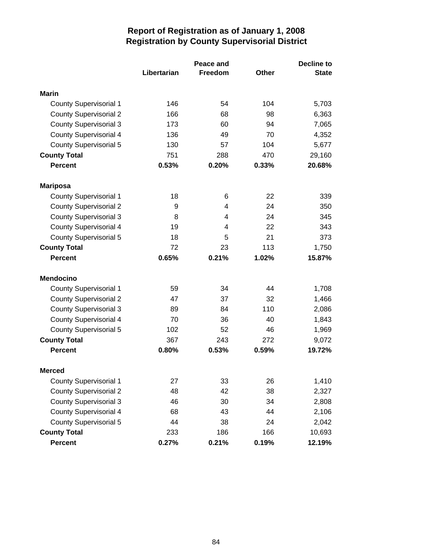|                               |             | <b>Decline to</b> |       |              |
|-------------------------------|-------------|-------------------|-------|--------------|
|                               | Libertarian | Freedom           | Other | <b>State</b> |
| Marin                         |             |                   |       |              |
| <b>County Supervisorial 1</b> | 146         | 54                | 104   | 5,703        |
| <b>County Supervisorial 2</b> | 166         | 68                | 98    | 6,363        |
| <b>County Supervisorial 3</b> | 173         | 60                | 94    | 7,065        |
| <b>County Supervisorial 4</b> | 136         | 49                | 70    | 4,352        |
| <b>County Supervisorial 5</b> | 130         | 57                | 104   | 5,677        |
| <b>County Total</b>           | 751         | 288               | 470   | 29,160       |
| <b>Percent</b>                | 0.53%       | 0.20%             | 0.33% | 20.68%       |
| <b>Mariposa</b>               |             |                   |       |              |
| <b>County Supervisorial 1</b> | 18          | 6                 | 22    | 339          |
| <b>County Supervisorial 2</b> | 9           | 4                 | 24    | 350          |
| <b>County Supervisorial 3</b> | 8           | 4                 | 24    | 345          |
| <b>County Supervisorial 4</b> | 19          | 4                 | 22    | 343          |
| <b>County Supervisorial 5</b> | 18          | 5                 | 21    | 373          |
| <b>County Total</b>           | 72          | 23                | 113   | 1,750        |
| <b>Percent</b>                | 0.65%       | 0.21%             | 1.02% | 15.87%       |
| <b>Mendocino</b>              |             |                   |       |              |
| <b>County Supervisorial 1</b> | 59          | 34                | 44    | 1,708        |
| <b>County Supervisorial 2</b> | 47          | 37                | 32    | 1,466        |
| <b>County Supervisorial 3</b> | 89          | 84                | 110   | 2,086        |
| <b>County Supervisorial 4</b> | 70          | 36                | 40    | 1,843        |
| <b>County Supervisorial 5</b> | 102         | 52                | 46    | 1,969        |
| <b>County Total</b>           | 367         | 243               | 272   | 9,072        |
| <b>Percent</b>                | 0.80%       | 0.53%             | 0.59% | 19.72%       |
| <b>Merced</b>                 |             |                   |       |              |
| <b>County Supervisorial 1</b> | 27          | 33                | 26    | 1,410        |
| <b>County Supervisorial 2</b> | 48          | 42                | 38    | 2,327        |
| <b>County Supervisorial 3</b> | 46          | 30                | 34    | 2,808        |
| <b>County Supervisorial 4</b> | 68          | 43                | 44    | 2,106        |
| <b>County Supervisorial 5</b> | 44          | 38                | 24    | 2,042        |
| <b>County Total</b>           | 233         | 186               | 166   | 10,693       |
| <b>Percent</b>                | 0.27%       | 0.21%             | 0.19% | 12.19%       |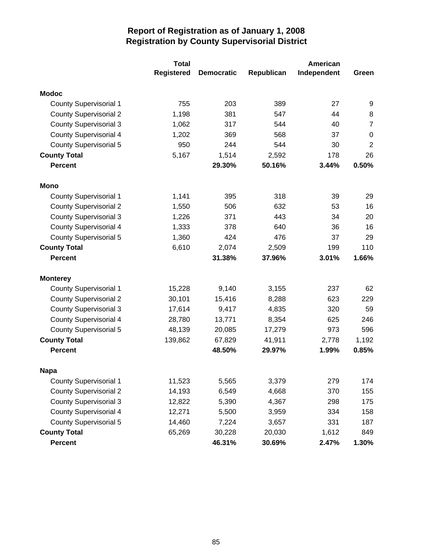|                               | <b>Total</b>      |                   |            | American    |                |
|-------------------------------|-------------------|-------------------|------------|-------------|----------------|
|                               | <b>Registered</b> | <b>Democratic</b> | Republican | Independent | Green          |
| <b>Modoc</b>                  |                   |                   |            |             |                |
| <b>County Supervisorial 1</b> | 755               | 203               | 389        | 27          | 9              |
| <b>County Supervisorial 2</b> | 1,198             | 381               | 547        | 44          | 8              |
| <b>County Supervisorial 3</b> | 1,062             | 317               | 544        | 40          | $\overline{7}$ |
| <b>County Supervisorial 4</b> | 1,202             | 369               | 568        | 37          | $\pmb{0}$      |
| <b>County Supervisorial 5</b> | 950               | 244               | 544        | 30          | $\mathbf 2$    |
| <b>County Total</b>           | 5,167             | 1,514             | 2,592      | 178         | 26             |
| <b>Percent</b>                |                   | 29.30%            | 50.16%     | 3.44%       | 0.50%          |
| Mono                          |                   |                   |            |             |                |
| <b>County Supervisorial 1</b> | 1,141             | 395               | 318        | 39          | 29             |
| <b>County Supervisorial 2</b> | 1,550             | 506               | 632        | 53          | 16             |
| <b>County Supervisorial 3</b> | 1,226             | 371               | 443        | 34          | 20             |
| <b>County Supervisorial 4</b> | 1,333             | 378               | 640        | 36          | 16             |
| <b>County Supervisorial 5</b> | 1,360             | 424               | 476        | 37          | 29             |
| <b>County Total</b>           | 6,610             | 2,074             | 2,509      | 199         | 110            |
| <b>Percent</b>                |                   | 31.38%            | 37.96%     | 3.01%       | 1.66%          |
| <b>Monterey</b>               |                   |                   |            |             |                |
| <b>County Supervisorial 1</b> | 15,228            | 9,140             | 3,155      | 237         | 62             |
| <b>County Supervisorial 2</b> | 30,101            | 15,416            | 8,288      | 623         | 229            |
| <b>County Supervisorial 3</b> | 17,614            | 9,417             | 4,835      | 320         | 59             |
| <b>County Supervisorial 4</b> | 28,780            | 13,771            | 8,354      | 625         | 246            |
| <b>County Supervisorial 5</b> | 48,139            | 20,085            | 17,279     | 973         | 596            |
| <b>County Total</b>           | 139,862           | 67,829            | 41,911     | 2,778       | 1,192          |
| <b>Percent</b>                |                   | 48.50%            | 29.97%     | 1.99%       | 0.85%          |
| <b>Napa</b>                   |                   |                   |            |             |                |
| <b>County Supervisorial 1</b> | 11,523            | 5,565             | 3,379      | 279         | 174            |
| <b>County Supervisorial 2</b> | 14,193            | 6,549             | 4,668      | 370         | 155            |
| <b>County Supervisorial 3</b> | 12,822            | 5,390             | 4,367      | 298         | 175            |
| <b>County Supervisorial 4</b> | 12,271            | 5,500             | 3,959      | 334         | 158            |
| <b>County Supervisorial 5</b> | 14,460            | 7,224             | 3,657      | 331         | 187            |
| <b>County Total</b>           | 65,269            | 30,228            | 20,030     | 1,612       | 849            |
| Percent                       |                   | 46.31%            | 30.69%     | 2.47%       | 1.30%          |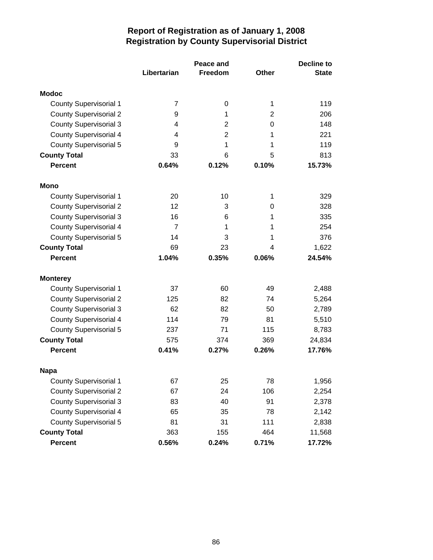|                               |             | <b>Decline to</b> |                |              |
|-------------------------------|-------------|-------------------|----------------|--------------|
|                               | Libertarian | <b>Freedom</b>    | Other          | <b>State</b> |
| <b>Modoc</b>                  |             |                   |                |              |
| <b>County Supervisorial 1</b> | 7           | 0                 | 1              | 119          |
| <b>County Supervisorial 2</b> | 9           | 1                 | $\overline{2}$ | 206          |
| <b>County Supervisorial 3</b> | 4           | 2                 | 0              | 148          |
| <b>County Supervisorial 4</b> | 4           | $\overline{2}$    | 1              | 221          |
| <b>County Supervisorial 5</b> | 9           | 1                 | 1              | 119          |
| <b>County Total</b>           | 33          | 6                 | 5              | 813          |
| <b>Percent</b>                | 0.64%       | 0.12%             | 0.10%          | 15.73%       |
| Mono                          |             |                   |                |              |
| <b>County Supervisorial 1</b> | 20          | 10                | 1              | 329          |
| <b>County Supervisorial 2</b> | 12          | 3                 | 0              | 328          |
| <b>County Supervisorial 3</b> | 16          | 6                 | 1              | 335          |
| <b>County Supervisorial 4</b> | 7           | 1                 | 1              | 254          |
| <b>County Supervisorial 5</b> | 14          | 3                 | 1              | 376          |
| <b>County Total</b>           | 69          | 23                | 4              | 1,622        |
| <b>Percent</b>                | 1.04%       | 0.35%             | 0.06%          | 24.54%       |
| <b>Monterey</b>               |             |                   |                |              |
| <b>County Supervisorial 1</b> | 37          | 60                | 49             | 2,488        |
| <b>County Supervisorial 2</b> | 125         | 82                | 74             | 5,264        |
| <b>County Supervisorial 3</b> | 62          | 82                | 50             | 2,789        |
| <b>County Supervisorial 4</b> | 114         | 79                | 81             | 5,510        |
| County Supervisorial 5        | 237         | 71                | 115            | 8,783        |
| <b>County Total</b>           | 575         | 374               | 369            | 24,834       |
| <b>Percent</b>                | 0.41%       | 0.27%             | 0.26%          | 17.76%       |
| <b>Napa</b>                   |             |                   |                |              |
| <b>County Supervisorial 1</b> | 67          | 25                | 78             | 1,956        |
| <b>County Supervisorial 2</b> | 67          | 24                | 106            | 2,254        |
| <b>County Supervisorial 3</b> | 83          | 40                | 91             | 2,378        |
| <b>County Supervisorial 4</b> | 65          | 35                | 78             | 2,142        |
| <b>County Supervisorial 5</b> | 81          | 31                | 111            | 2,838        |
| <b>County Total</b>           | 363         | 155               | 464            | 11,568       |
| <b>Percent</b>                | 0.56%       | 0.24%             | 0.71%          | 17.72%       |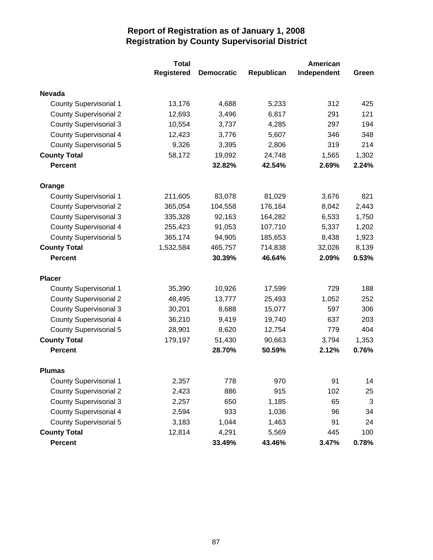|                               | <b>Total</b>      |                   |            | American    |       |
|-------------------------------|-------------------|-------------------|------------|-------------|-------|
|                               | <b>Registered</b> | <b>Democratic</b> | Republican | Independent | Green |
| <b>Nevada</b>                 |                   |                   |            |             |       |
| <b>County Supervisorial 1</b> | 13,176            | 4,688             | 5,233      | 312         | 425   |
| <b>County Supervisorial 2</b> | 12,693            | 3,496             | 6,817      | 291         | 121   |
| <b>County Supervisorial 3</b> | 10,554            | 3,737             | 4,285      | 297         | 194   |
| <b>County Supervisorial 4</b> | 12,423            | 3,776             | 5,607      | 346         | 348   |
| <b>County Supervisorial 5</b> | 9,326             | 3,395             | 2,806      | 319         | 214   |
| <b>County Total</b>           | 58,172            | 19,092            | 24,748     | 1,565       | 1,302 |
| <b>Percent</b>                |                   | 32.82%            | 42.54%     | 2.69%       | 2.24% |
| Orange                        |                   |                   |            |             |       |
| <b>County Supervisorial 1</b> | 211,605           | 83,078            | 81,029     | 3,676       | 821   |
| <b>County Supervisorial 2</b> | 365,054           | 104,558           | 176,164    | 8,042       | 2,443 |
| <b>County Supervisorial 3</b> | 335,328           | 92,163            | 164,282    | 6,533       | 1,750 |
| <b>County Supervisorial 4</b> | 255,423           | 91,053            | 107,710    | 5,337       | 1,202 |
| <b>County Supervisorial 5</b> | 365,174           | 94,905            | 185,653    | 8,438       | 1,923 |
| <b>County Total</b>           | 1,532,584         | 465,757           | 714,838    | 32,026      | 8,139 |
| <b>Percent</b>                |                   | 30.39%            | 46.64%     | 2.09%       | 0.53% |
| <b>Placer</b>                 |                   |                   |            |             |       |
| <b>County Supervisorial 1</b> | 35,390            | 10,926            | 17,599     | 729         | 188   |
| <b>County Supervisorial 2</b> | 48,495            | 13,777            | 25,493     | 1,052       | 252   |
| <b>County Supervisorial 3</b> | 30,201            | 8,688             | 15,077     | 597         | 306   |
| <b>County Supervisorial 4</b> | 36,210            | 9,419             | 19,740     | 637         | 203   |
| <b>County Supervisorial 5</b> | 28,901            | 8,620             | 12,754     | 779         | 404   |
| <b>County Total</b>           | 179,197           | 51,430            | 90,663     | 3,794       | 1,353 |
| <b>Percent</b>                |                   | 28.70%            | 50.59%     | 2.12%       | 0.76% |
| <b>Plumas</b>                 |                   |                   |            |             |       |
| <b>County Supervisorial 1</b> | 2,357             | 778               | 970        | 91          | 14    |
| <b>County Supervisorial 2</b> | 2,423             | 886               | 915        | 102         | 25    |
| <b>County Supervisorial 3</b> | 2,257             | 650               | 1,185      | 65          | 3     |
| <b>County Supervisorial 4</b> | 2,594             | 933               | 1,036      | 96          | 34    |
| <b>County Supervisorial 5</b> | 3,183             | 1,044             | 1,463      | 91          | 24    |
| <b>County Total</b>           | 12,814            | 4,291             | 5,569      | 445         | 100   |
| Percent                       |                   | 33.49%            | 43.46%     | 3.47%       | 0.78% |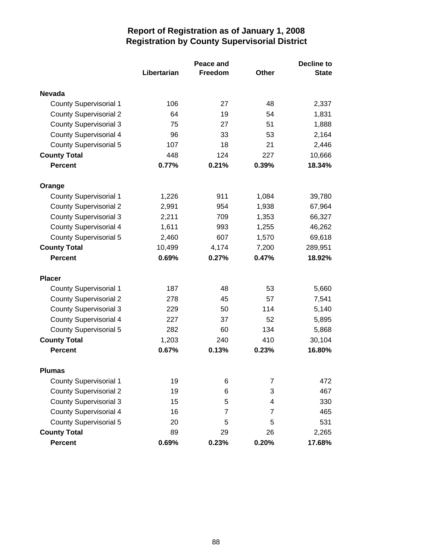|                               |             | <b>Decline to</b> |              |              |
|-------------------------------|-------------|-------------------|--------------|--------------|
|                               | Libertarian | Freedom           | <b>Other</b> | <b>State</b> |
| <b>Nevada</b>                 |             |                   |              |              |
| <b>County Supervisorial 1</b> | 106         | 27                | 48           | 2,337        |
| <b>County Supervisorial 2</b> | 64          | 19                | 54           | 1,831        |
| <b>County Supervisorial 3</b> | 75          | 27                | 51           | 1,888        |
| <b>County Supervisorial 4</b> | 96          | 33                | 53           | 2,164        |
| <b>County Supervisorial 5</b> | 107         | 18                | 21           | 2,446        |
| <b>County Total</b>           | 448         | 124               | 227          | 10,666       |
| <b>Percent</b>                | 0.77%       | 0.21%             | 0.39%        | 18.34%       |
| Orange                        |             |                   |              |              |
| <b>County Supervisorial 1</b> | 1,226       | 911               | 1,084        | 39,780       |
| <b>County Supervisorial 2</b> | 2,991       | 954               | 1,938        | 67,964       |
| <b>County Supervisorial 3</b> | 2,211       | 709               | 1,353        | 66,327       |
| <b>County Supervisorial 4</b> | 1,611       | 993               | 1,255        | 46,262       |
| <b>County Supervisorial 5</b> | 2,460       | 607               | 1,570        | 69,618       |
| <b>County Total</b>           | 10,499      | 4,174             | 7,200        | 289,951      |
| <b>Percent</b>                | 0.69%       | 0.27%             | 0.47%        | 18.92%       |
| <b>Placer</b>                 |             |                   |              |              |
| <b>County Supervisorial 1</b> | 187         | 48                | 53           | 5,660        |
| <b>County Supervisorial 2</b> | 278         | 45                | 57           | 7,541        |
| <b>County Supervisorial 3</b> | 229         | 50                | 114          | 5,140        |
| <b>County Supervisorial 4</b> | 227         | 37                | 52           | 5,895        |
| <b>County Supervisorial 5</b> | 282         | 60                | 134          | 5,868        |
| <b>County Total</b>           | 1,203       | 240               | 410          | 30,104       |
| <b>Percent</b>                | 0.67%       | 0.13%             | 0.23%        | 16.80%       |
| <b>Plumas</b>                 |             |                   |              |              |
| <b>County Supervisorial 1</b> | 19          | 6                 | 7            | 472          |
| <b>County Supervisorial 2</b> | 19          | 6                 | 3            | 467          |
| <b>County Supervisorial 3</b> | 15          | 5                 | 4            | 330          |
| <b>County Supervisorial 4</b> | 16          | 7                 | 7            | 465          |
| <b>County Supervisorial 5</b> | 20          | 5                 | 5            | 531          |
| <b>County Total</b>           | 89          | 29                | 26           | 2,265        |
| <b>Percent</b>                | 0.69%       | 0.23%             | 0.20%        | 17.68%       |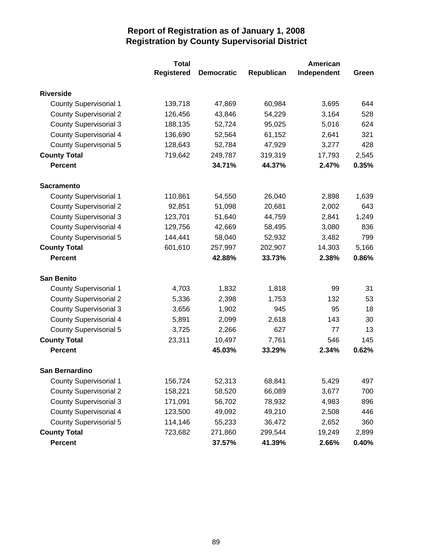|                               | <b>Total</b>      |                   |            | American    |       |
|-------------------------------|-------------------|-------------------|------------|-------------|-------|
|                               | <b>Registered</b> | <b>Democratic</b> | Republican | Independent | Green |
| <b>Riverside</b>              |                   |                   |            |             |       |
| <b>County Supervisorial 1</b> | 139,718           | 47,869            | 60,984     | 3,695       | 644   |
| <b>County Supervisorial 2</b> | 126,456           | 43,846            | 54,229     | 3,164       | 528   |
| <b>County Supervisorial 3</b> | 188,135           | 52,724            | 95,025     | 5,016       | 624   |
| <b>County Supervisorial 4</b> | 136,690           | 52,564            | 61,152     | 2,641       | 321   |
| <b>County Supervisorial 5</b> | 128,643           | 52,784            | 47,929     | 3,277       | 428   |
| <b>County Total</b>           | 719,642           | 249,787           | 319,319    | 17,793      | 2,545 |
| <b>Percent</b>                |                   | 34.71%            | 44.37%     | 2.47%       | 0.35% |
| <b>Sacramento</b>             |                   |                   |            |             |       |
| <b>County Supervisorial 1</b> | 110,861           | 54,550            | 26,040     | 2,898       | 1,639 |
| <b>County Supervisorial 2</b> | 92,851            | 51,098            | 20,681     | 2,002       | 643   |
| <b>County Supervisorial 3</b> | 123,701           | 51,640            | 44,759     | 2,841       | 1,249 |
| <b>County Supervisorial 4</b> | 129,756           | 42,669            | 58,495     | 3,080       | 836   |
| County Supervisorial 5        | 144,441           | 58,040            | 52,932     | 3,482       | 799   |
| <b>County Total</b>           | 601,610           | 257,997           | 202,907    | 14,303      | 5,166 |
| <b>Percent</b>                |                   | 42.88%            | 33.73%     | 2.38%       | 0.86% |
| <b>San Benito</b>             |                   |                   |            |             |       |
| <b>County Supervisorial 1</b> | 4,703             | 1,832             | 1,818      | 99          | 31    |
| <b>County Supervisorial 2</b> | 5,336             | 2,398             | 1,753      | 132         | 53    |
| <b>County Supervisorial 3</b> | 3,656             | 1,902             | 945        | 95          | 18    |
| <b>County Supervisorial 4</b> | 5,891             | 2,099             | 2,618      | 143         | 30    |
| <b>County Supervisorial 5</b> | 3,725             | 2,266             | 627        | 77          | 13    |
| <b>County Total</b>           | 23,311            | 10,497            | 7,761      | 546         | 145   |
| <b>Percent</b>                |                   | 45.03%            | 33.29%     | 2.34%       | 0.62% |
| <b>San Bernardino</b>         |                   |                   |            |             |       |
| <b>County Supervisorial 1</b> | 156,724           | 52,313            | 68,841     | 5,429       | 497   |
| <b>County Supervisorial 2</b> | 158,221           | 58,520            | 66,089     | 3,677       | 700   |
| <b>County Supervisorial 3</b> | 171,091           | 56,702            | 78,932     | 4,983       | 896   |
| <b>County Supervisorial 4</b> | 123,500           | 49,092            | 49,210     | 2,508       | 446   |
| <b>County Supervisorial 5</b> | 114,146           | 55,233            | 36,472     | 2,652       | 360   |
| <b>County Total</b>           | 723,682           | 271,860           | 299,544    | 19,249      | 2,899 |
| Percent                       |                   | 37.57%            | 41.39%     | 2.66%       | 0.40% |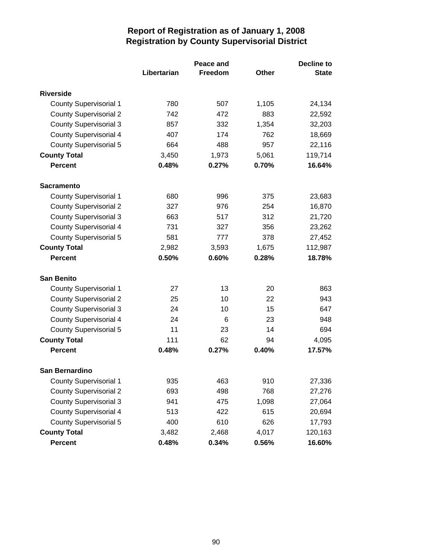|                               |             | <b>Decline to</b> |       |              |
|-------------------------------|-------------|-------------------|-------|--------------|
|                               | Libertarian | Freedom           | Other | <b>State</b> |
| <b>Riverside</b>              |             |                   |       |              |
| <b>County Supervisorial 1</b> | 780         | 507               | 1,105 | 24,134       |
| <b>County Supervisorial 2</b> | 742         | 472               | 883   | 22,592       |
| <b>County Supervisorial 3</b> | 857         | 332               | 1,354 | 32,203       |
| <b>County Supervisorial 4</b> | 407         | 174               | 762   | 18,669       |
| <b>County Supervisorial 5</b> | 664         | 488               | 957   | 22,116       |
| <b>County Total</b>           | 3,450       | 1,973             | 5,061 | 119,714      |
| <b>Percent</b>                | 0.48%       | 0.27%             | 0.70% | 16.64%       |
| <b>Sacramento</b>             |             |                   |       |              |
| <b>County Supervisorial 1</b> | 680         | 996               | 375   | 23,683       |
| <b>County Supervisorial 2</b> | 327         | 976               | 254   | 16,870       |
| <b>County Supervisorial 3</b> | 663         | 517               | 312   | 21,720       |
| <b>County Supervisorial 4</b> | 731         | 327               | 356   | 23,262       |
| <b>County Supervisorial 5</b> | 581         | 777               | 378   | 27,452       |
| <b>County Total</b>           | 2,982       | 3,593             | 1,675 | 112,987      |
| <b>Percent</b>                | 0.50%       | 0.60%             | 0.28% | 18.78%       |
| <b>San Benito</b>             |             |                   |       |              |
| <b>County Supervisorial 1</b> | 27          | 13                | 20    | 863          |
| <b>County Supervisorial 2</b> | 25          | 10                | 22    | 943          |
| <b>County Supervisorial 3</b> | 24          | 10                | 15    | 647          |
| <b>County Supervisorial 4</b> | 24          | 6                 | 23    | 948          |
| <b>County Supervisorial 5</b> | 11          | 23                | 14    | 694          |
| <b>County Total</b>           | 111         | 62                | 94    | 4,095        |
| <b>Percent</b>                | 0.48%       | 0.27%             | 0.40% | 17.57%       |
| San Bernardino                |             |                   |       |              |
| <b>County Supervisorial 1</b> | 935         | 463               | 910   | 27,336       |
| <b>County Supervisorial 2</b> | 693         | 498               | 768   | 27,276       |
| <b>County Supervisorial 3</b> | 941         | 475               | 1,098 | 27,064       |
| <b>County Supervisorial 4</b> | 513         | 422               | 615   | 20,694       |
| <b>County Supervisorial 5</b> | 400         | 610               | 626   | 17,793       |
| <b>County Total</b>           | 3,482       | 2,468             | 4,017 | 120,163      |
| <b>Percent</b>                | 0.48%       | 0.34%             | 0.56% | 16.60%       |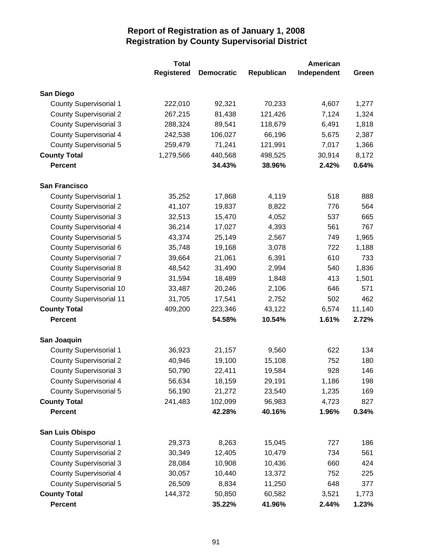|                                | <b>Total</b>      |                   |            | American    |        |
|--------------------------------|-------------------|-------------------|------------|-------------|--------|
|                                | <b>Registered</b> | <b>Democratic</b> | Republican | Independent | Green  |
| San Diego                      |                   |                   |            |             |        |
| <b>County Supervisorial 1</b>  | 222,010           | 92,321            | 70,233     | 4,607       | 1,277  |
| <b>County Supervisorial 2</b>  | 267,215           | 81,438            | 121,426    | 7,124       | 1,324  |
| <b>County Supervisorial 3</b>  | 288,324           | 89,541            | 118,679    | 6,491       | 1,818  |
| <b>County Supervisorial 4</b>  | 242,538           | 106,027           | 66,196     | 5,675       | 2,387  |
| County Supervisorial 5         | 259,479           | 71,241            | 121,991    | 7,017       | 1,366  |
| <b>County Total</b>            | 1,279,566         | 440,568           | 498,525    | 30,914      | 8,172  |
| <b>Percent</b>                 |                   | 34.43%            | 38.96%     | 2.42%       | 0.64%  |
| <b>San Francisco</b>           |                   |                   |            |             |        |
| <b>County Supervisorial 1</b>  | 35,252            | 17,868            | 4,119      | 518         | 888    |
| <b>County Supervisorial 2</b>  | 41,107            | 19,837            | 8,822      | 776         | 564    |
| <b>County Supervisorial 3</b>  | 32,513            | 15,470            | 4,052      | 537         | 665    |
| County Supervisorial 4         | 36,214            | 17,027            | 4,393      | 561         | 767    |
| County Supervisorial 5         | 43,374            | 25,149            | 2,567      | 749         | 1,965  |
| County Supervisorial 6         | 35,748            | 19,168            | 3,078      | 722         | 1,188  |
| <b>County Supervisorial 7</b>  | 39,664            | 21,061            | 6,391      | 610         | 733    |
| <b>County Supervisorial 8</b>  | 48,542            | 31,490            | 2,994      | 540         | 1,836  |
| <b>County Supervisorial 9</b>  | 31,594            | 18,489            | 1,848      | 413         | 1,501  |
| <b>County Supervisorial 10</b> | 33,487            | 20,246            | 2,106      | 646         | 571    |
| <b>County Supervisorial 11</b> | 31,705            | 17,541            | 2,752      | 502         | 462    |
| <b>County Total</b>            | 409,200           | 223,346           | 43,122     | 6,574       | 11,140 |
| <b>Percent</b>                 |                   | 54.58%            | 10.54%     | 1.61%       | 2.72%  |
| San Joaquin                    |                   |                   |            |             |        |
| <b>County Supervisorial 1</b>  | 36,923            | 21,157            | 9,560      | 622         | 134    |
| <b>County Supervisorial 2</b>  | 40,946            | 19,100            | 15,108     | 752         | 180    |
| <b>County Supervisorial 3</b>  | 50,790            | 22,411            | 19,584     | 928         | 146    |
| County Supervisorial 4         | 56,634            | 18,159            | 29,191     | 1,186       | 198    |
| <b>County Supervisorial 5</b>  | 56,190            | 21,272            | 23,540     | 1,235       | 169    |
| <b>County Total</b>            | 241,483           | 102,099           | 96,983     | 4,723       | 827    |
| <b>Percent</b>                 |                   | 42.28%            | 40.16%     | 1.96%       | 0.34%  |
| San Luis Obispo                |                   |                   |            |             |        |
| <b>County Supervisorial 1</b>  | 29,373            | 8,263             | 15,045     | 727         | 186    |
| <b>County Supervisorial 2</b>  | 30,349            | 12,405            | 10,479     | 734         | 561    |
| <b>County Supervisorial 3</b>  | 28,084            | 10,908            | 10,436     | 660         | 424    |
| <b>County Supervisorial 4</b>  | 30,057            | 10,440            | 13,372     | 752         | 225    |
| <b>County Supervisorial 5</b>  | 26,509            | 8,834             | 11,250     | 648         | 377    |
| <b>County Total</b>            | 144,372           | 50,850            | 60,582     | 3,521       | 1,773  |
| <b>Percent</b>                 |                   | 35.22%            | 41.96%     | 2.44%       | 1.23%  |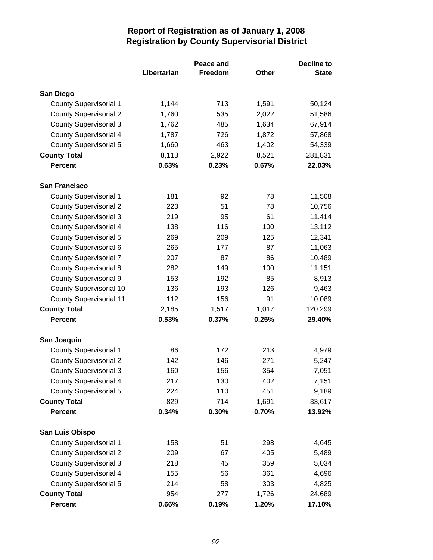|                                | Peace and   |         |              | <b>Decline to</b> |
|--------------------------------|-------------|---------|--------------|-------------------|
|                                | Libertarian | Freedom | <b>Other</b> | <b>State</b>      |
| San Diego                      |             |         |              |                   |
| <b>County Supervisorial 1</b>  | 1,144       | 713     | 1,591        | 50,124            |
| <b>County Supervisorial 2</b>  | 1,760       | 535     | 2,022        | 51,586            |
| <b>County Supervisorial 3</b>  | 1,762       | 485     | 1,634        | 67,914            |
| <b>County Supervisorial 4</b>  | 1,787       | 726     | 1,872        | 57,868            |
| <b>County Supervisorial 5</b>  | 1,660       | 463     | 1,402        | 54,339            |
| <b>County Total</b>            | 8,113       | 2,922   | 8,521        | 281,831           |
| <b>Percent</b>                 | 0.63%       | 0.23%   | 0.67%        | 22.03%            |
| <b>San Francisco</b>           |             |         |              |                   |
| <b>County Supervisorial 1</b>  | 181         | 92      | 78           | 11,508            |
| <b>County Supervisorial 2</b>  | 223         | 51      | 78           | 10,756            |
| <b>County Supervisorial 3</b>  | 219         | 95      | 61           | 11,414            |
| <b>County Supervisorial 4</b>  | 138         | 116     | 100          | 13,112            |
| <b>County Supervisorial 5</b>  | 269         | 209     | 125          | 12,341            |
| <b>County Supervisorial 6</b>  | 265         | 177     | 87           | 11,063            |
| <b>County Supervisorial 7</b>  | 207         | 87      | 86           | 10,489            |
| <b>County Supervisorial 8</b>  | 282         | 149     | 100          | 11,151            |
| <b>County Supervisorial 9</b>  | 153         | 192     | 85           | 8,913             |
| <b>County Supervisorial 10</b> | 136         | 193     | 126          | 9,463             |
| <b>County Supervisorial 11</b> | 112         | 156     | 91           | 10,089            |
| <b>County Total</b>            | 2,185       | 1,517   | 1,017        | 120,299           |
| <b>Percent</b>                 | 0.53%       | 0.37%   | 0.25%        | 29.40%            |
| San Joaquin                    |             |         |              |                   |
| <b>County Supervisorial 1</b>  | 86          | 172     | 213          | 4,979             |
| <b>County Supervisorial 2</b>  | 142         | 146     | 271          | 5,247             |
| <b>County Supervisorial 3</b>  | 160         | 156     | 354          | 7,051             |
| <b>County Supervisorial 4</b>  | 217         | 130     | 402          | 7,151             |
| <b>County Supervisorial 5</b>  | 224         | 110     | 451          | 9,189             |
| <b>County Total</b>            | 829         | 714     | 1,691        | 33,617            |
| <b>Percent</b>                 | 0.34%       | 0.30%   | 0.70%        | 13.92%            |
| San Luis Obispo                |             |         |              |                   |
| <b>County Supervisorial 1</b>  | 158         | 51      | 298          | 4,645             |
| <b>County Supervisorial 2</b>  | 209         | 67      | 405          | 5,489             |
| <b>County Supervisorial 3</b>  | 218         | 45      | 359          | 5,034             |
| <b>County Supervisorial 4</b>  | 155         | 56      | 361          | 4,696             |
| <b>County Supervisorial 5</b>  | 214         | 58      | 303          | 4,825             |
| <b>County Total</b>            | 954         | 277     | 1,726        | 24,689            |
| <b>Percent</b>                 | 0.66%       | 0.19%   | 1.20%        | 17.10%            |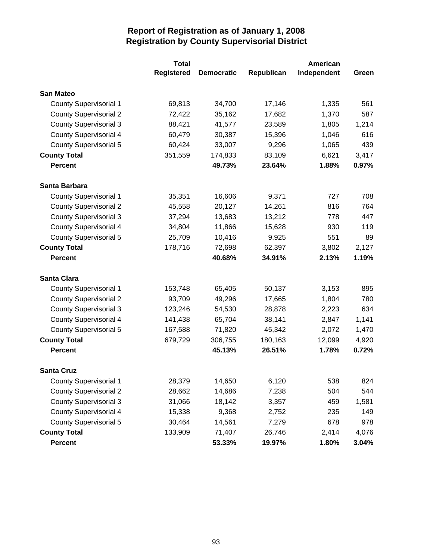|                               | <b>Total</b>      |                   |            | American    |       |  |
|-------------------------------|-------------------|-------------------|------------|-------------|-------|--|
|                               | <b>Registered</b> | <b>Democratic</b> | Republican | Independent | Green |  |
| <b>San Mateo</b>              |                   |                   |            |             |       |  |
| <b>County Supervisorial 1</b> | 69,813            | 34,700            | 17,146     | 1,335       | 561   |  |
| <b>County Supervisorial 2</b> | 72,422            | 35,162            | 17,682     | 1,370       | 587   |  |
| <b>County Supervisorial 3</b> | 88,421            | 41,577            | 23,589     | 1,805       | 1,214 |  |
| <b>County Supervisorial 4</b> | 60,479            | 30,387            | 15,396     | 1,046       | 616   |  |
| <b>County Supervisorial 5</b> | 60,424            | 33,007            | 9,296      | 1,065       | 439   |  |
| <b>County Total</b>           | 351,559           | 174,833           | 83,109     | 6,621       | 3,417 |  |
| <b>Percent</b>                |                   | 49.73%            | 23.64%     | 1.88%       | 0.97% |  |
| Santa Barbara                 |                   |                   |            |             |       |  |
| <b>County Supervisorial 1</b> | 35,351            | 16,606            | 9,371      | 727         | 708   |  |
| <b>County Supervisorial 2</b> | 45,558            | 20,127            | 14,261     | 816         | 764   |  |
| <b>County Supervisorial 3</b> | 37,294            | 13,683            | 13,212     | 778         | 447   |  |
| <b>County Supervisorial 4</b> | 34,804            | 11,866            | 15,628     | 930         | 119   |  |
| <b>County Supervisorial 5</b> | 25,709            | 10,416            | 9,925      | 551         | 89    |  |
| <b>County Total</b>           | 178,716           | 72,698            | 62,397     | 3,802       | 2,127 |  |
| <b>Percent</b>                |                   | 40.68%            | 34.91%     | 2.13%       | 1.19% |  |
| <b>Santa Clara</b>            |                   |                   |            |             |       |  |
| <b>County Supervisorial 1</b> | 153,748           | 65,405            | 50,137     | 3,153       | 895   |  |
| <b>County Supervisorial 2</b> | 93,709            | 49,296            | 17,665     | 1,804       | 780   |  |
| <b>County Supervisorial 3</b> | 123,246           | 54,530            | 28,878     | 2,223       | 634   |  |
| <b>County Supervisorial 4</b> | 141,438           | 65,704            | 38,141     | 2,847       | 1,141 |  |
| <b>County Supervisorial 5</b> | 167,588           | 71,820            | 45,342     | 2,072       | 1,470 |  |
| <b>County Total</b>           | 679,729           | 306,755           | 180,163    | 12,099      | 4,920 |  |
| <b>Percent</b>                |                   | 45.13%            | 26.51%     | 1.78%       | 0.72% |  |
| <b>Santa Cruz</b>             |                   |                   |            |             |       |  |
| <b>County Supervisorial 1</b> | 28,379            | 14,650            | 6,120      | 538         | 824   |  |
| <b>County Supervisorial 2</b> | 28,662            | 14,686            | 7,238      | 504         | 544   |  |
| <b>County Supervisorial 3</b> | 31,066            | 18,142            | 3,357      | 459         | 1,581 |  |
| <b>County Supervisorial 4</b> | 15,338            | 9,368             | 2,752      | 235         | 149   |  |
| <b>County Supervisorial 5</b> | 30,464            | 14,561            | 7,279      | 678         | 978   |  |
| <b>County Total</b>           | 133,909           | 71,407            | 26,746     | 2,414       | 4,076 |  |
| <b>Percent</b>                |                   | 53.33%            | 19.97%     | 1.80%       | 3.04% |  |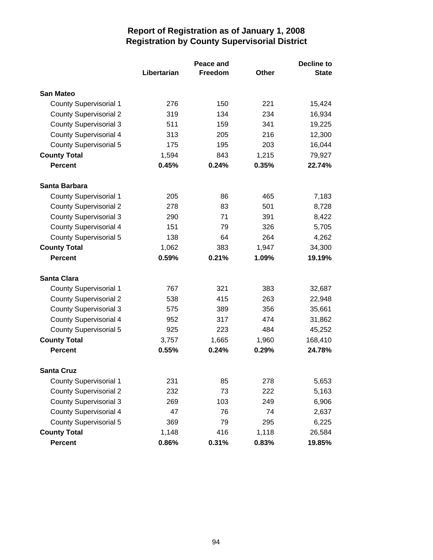|                               | Peace and   |         |       | <b>Decline to</b> |
|-------------------------------|-------------|---------|-------|-------------------|
|                               | Libertarian | Freedom | Other | <b>State</b>      |
| <b>San Mateo</b>              |             |         |       |                   |
| <b>County Supervisorial 1</b> | 276         | 150     | 221   | 15,424            |
| <b>County Supervisorial 2</b> | 319         | 134     | 234   | 16,934            |
| <b>County Supervisorial 3</b> | 511         | 159     | 341   | 19,225            |
| <b>County Supervisorial 4</b> | 313         | 205     | 216   | 12,300            |
| <b>County Supervisorial 5</b> | 175         | 195     | 203   | 16,044            |
| <b>County Total</b>           | 1,594       | 843     | 1,215 | 79,927            |
| <b>Percent</b>                | 0.45%       | 0.24%   | 0.35% | 22.74%            |
| Santa Barbara                 |             |         |       |                   |
| <b>County Supervisorial 1</b> | 205         | 86      | 465   | 7,183             |
| <b>County Supervisorial 2</b> | 278         | 83      | 501   | 8,728             |
| <b>County Supervisorial 3</b> | 290         | 71      | 391   | 8,422             |
| <b>County Supervisorial 4</b> | 151         | 79      | 326   | 5,705             |
| <b>County Supervisorial 5</b> | 138         | 64      | 264   | 4,262             |
| <b>County Total</b>           | 1,062       | 383     | 1,947 | 34,300            |
| <b>Percent</b>                | 0.59%       | 0.21%   | 1.09% | 19.19%            |
| <b>Santa Clara</b>            |             |         |       |                   |
| <b>County Supervisorial 1</b> | 767         | 321     | 383   | 32,687            |
| <b>County Supervisorial 2</b> | 538         | 415     | 263   | 22,948            |
| <b>County Supervisorial 3</b> | 575         | 389     | 356   | 35,661            |
| <b>County Supervisorial 4</b> | 952         | 317     | 474   | 31,862            |
| <b>County Supervisorial 5</b> | 925         | 223     | 484   | 45,252            |
| <b>County Total</b>           | 3,757       | 1,665   | 1,960 | 168,410           |
| <b>Percent</b>                | 0.55%       | 0.24%   | 0.29% | 24.78%            |
| <b>Santa Cruz</b>             |             |         |       |                   |
| <b>County Supervisorial 1</b> | 231         | 85      | 278   | 5,653             |
| <b>County Supervisorial 2</b> | 232         | 73      | 222   | 5,163             |
| <b>County Supervisorial 3</b> | 269         | 103     | 249   | 6,906             |
| <b>County Supervisorial 4</b> | 47          | 76      | 74    | 2,637             |
| <b>County Supervisorial 5</b> | 369         | 79      | 295   | 6,225             |
| <b>County Total</b>           | 1,148       | 416     | 1,118 | 26,584            |
| <b>Percent</b>                | 0.86%       | 0.31%   | 0.83% | 19.85%            |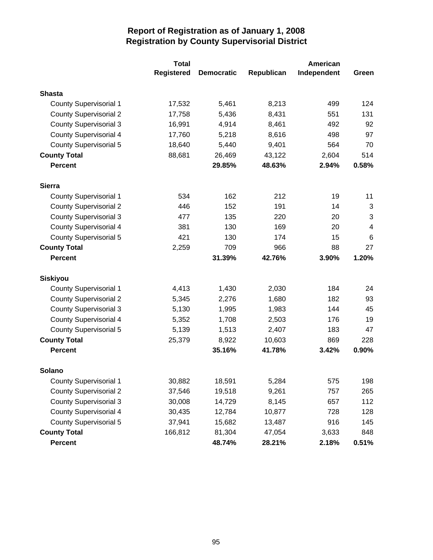|                               | <b>Total</b>      | <b>American</b>   |            |             |       |
|-------------------------------|-------------------|-------------------|------------|-------------|-------|
|                               | <b>Registered</b> | <b>Democratic</b> | Republican | Independent | Green |
| <b>Shasta</b>                 |                   |                   |            |             |       |
| <b>County Supervisorial 1</b> | 17,532            | 5,461             | 8,213      | 499         | 124   |
| <b>County Supervisorial 2</b> | 17,758            | 5,436             | 8,431      | 551         | 131   |
| <b>County Supervisorial 3</b> | 16,991            | 4,914             | 8,461      | 492         | 92    |
| <b>County Supervisorial 4</b> | 17,760            | 5,218             | 8,616      | 498         | 97    |
| <b>County Supervisorial 5</b> | 18,640            | 5,440             | 9,401      | 564         | 70    |
| <b>County Total</b>           | 88,681            | 26,469            | 43,122     | 2,604       | 514   |
| <b>Percent</b>                |                   | 29.85%            | 48.63%     | 2.94%       | 0.58% |
| <b>Sierra</b>                 |                   |                   |            |             |       |
| <b>County Supervisorial 1</b> | 534               | 162               | 212        | 19          | 11    |
| <b>County Supervisorial 2</b> | 446               | 152               | 191        | 14          | 3     |
| <b>County Supervisorial 3</b> | 477               | 135               | 220        | 20          | 3     |
| <b>County Supervisorial 4</b> | 381               | 130               | 169        | 20          | 4     |
| <b>County Supervisorial 5</b> | 421               | 130               | 174        | 15          | 6     |
| <b>County Total</b>           | 2,259             | 709               | 966        | 88          | 27    |
| <b>Percent</b>                |                   | 31.39%            | 42.76%     | 3.90%       | 1.20% |
| <b>Siskiyou</b>               |                   |                   |            |             |       |
| <b>County Supervisorial 1</b> | 4,413             | 1,430             | 2,030      | 184         | 24    |
| <b>County Supervisorial 2</b> | 5,345             | 2,276             | 1,680      | 182         | 93    |
| <b>County Supervisorial 3</b> | 5,130             | 1,995             | 1,983      | 144         | 45    |
| <b>County Supervisorial 4</b> | 5,352             | 1,708             | 2,503      | 176         | 19    |
| <b>County Supervisorial 5</b> | 5,139             | 1,513             | 2,407      | 183         | 47    |
| <b>County Total</b>           | 25,379            | 8,922             | 10,603     | 869         | 228   |
| <b>Percent</b>                |                   | 35.16%            | 41.78%     | 3.42%       | 0.90% |
| Solano                        |                   |                   |            |             |       |
| <b>County Supervisorial 1</b> | 30,882            | 18,591            | 5,284      | 575         | 198   |
| <b>County Supervisorial 2</b> | 37,546            | 19,518            | 9,261      | 757         | 265   |
| <b>County Supervisorial 3</b> | 30,008            | 14,729            | 8,145      | 657         | 112   |
| <b>County Supervisorial 4</b> | 30,435            | 12,784            | 10,877     | 728         | 128   |
| <b>County Supervisorial 5</b> | 37,941            | 15,682            | 13,487     | 916         | 145   |
| <b>County Total</b>           | 166,812           | 81,304            | 47,054     | 3,633       | 848   |
| <b>Percent</b>                |                   | 48.74%            | 28.21%     | 2.18%       | 0.51% |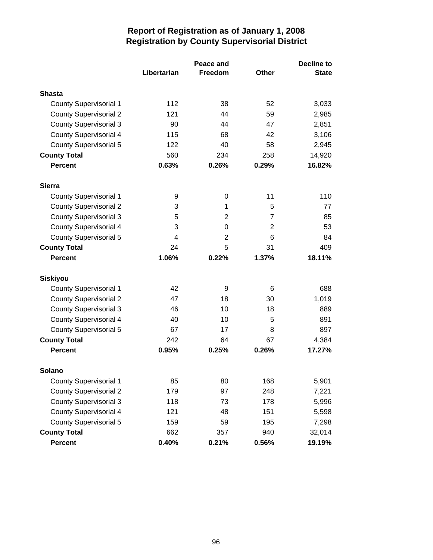|                               |                         | <b>Decline to</b> |                |              |
|-------------------------------|-------------------------|-------------------|----------------|--------------|
|                               | Libertarian             | Freedom           | Other          | <b>State</b> |
| Shasta                        |                         |                   |                |              |
| <b>County Supervisorial 1</b> | 112                     | 38                | 52             | 3,033        |
| <b>County Supervisorial 2</b> | 121                     | 44                | 59             | 2,985        |
| <b>County Supervisorial 3</b> | 90                      | 44                | 47             | 2,851        |
| <b>County Supervisorial 4</b> | 115                     | 68                | 42             | 3,106        |
| <b>County Supervisorial 5</b> | 122                     | 40                | 58             | 2,945        |
| <b>County Total</b>           | 560                     | 234               | 258            | 14,920       |
| <b>Percent</b>                | 0.63%                   | 0.26%             | 0.29%          | 16.82%       |
| <b>Sierra</b>                 |                         |                   |                |              |
| <b>County Supervisorial 1</b> | 9                       | 0                 | 11             | 110          |
| <b>County Supervisorial 2</b> | 3                       | 1                 | 5              | 77           |
| <b>County Supervisorial 3</b> | 5                       | $\overline{2}$    | $\overline{7}$ | 85           |
| <b>County Supervisorial 4</b> | 3                       | 0                 | $\overline{2}$ | 53           |
| <b>County Supervisorial 5</b> | $\overline{\mathbf{4}}$ | $\overline{2}$    | 6              | 84           |
| <b>County Total</b>           | 24                      | 5                 | 31             | 409          |
| <b>Percent</b>                | 1.06%                   | 0.22%             | 1.37%          | 18.11%       |
| <b>Siskiyou</b>               |                         |                   |                |              |
| <b>County Supervisorial 1</b> | 42                      | 9                 | 6              | 688          |
| <b>County Supervisorial 2</b> | 47                      | 18                | 30             | 1,019        |
| <b>County Supervisorial 3</b> | 46                      | 10                | 18             | 889          |
| <b>County Supervisorial 4</b> | 40                      | 10                | 5              | 891          |
| <b>County Supervisorial 5</b> | 67                      | 17                | 8              | 897          |
| <b>County Total</b>           | 242                     | 64                | 67             | 4,384        |
| <b>Percent</b>                | 0.95%                   | 0.25%             | 0.26%          | 17.27%       |
| <b>Solano</b>                 |                         |                   |                |              |
| <b>County Supervisorial 1</b> | 85                      | 80                | 168            | 5,901        |
| <b>County Supervisorial 2</b> | 179                     | 97                | 248            | 7,221        |
| <b>County Supervisorial 3</b> | 118                     | 73                | 178            | 5,996        |
| <b>County Supervisorial 4</b> | 121                     | 48                | 151            | 5,598        |
| <b>County Supervisorial 5</b> | 159                     | 59                | 195            | 7,298        |
| <b>County Total</b>           | 662                     | 357               | 940            | 32,014       |
| <b>Percent</b>                | 0.40%                   | 0.21%             | 0.56%          | 19.19%       |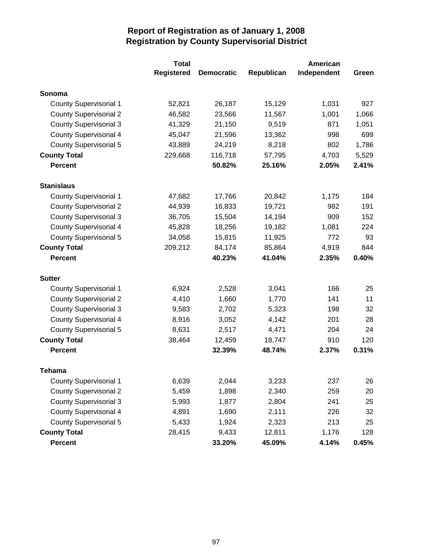|                               | <b>Total</b>      |                   |            | American    |       |
|-------------------------------|-------------------|-------------------|------------|-------------|-------|
|                               | <b>Registered</b> | <b>Democratic</b> | Republican | Independent | Green |
| Sonoma                        |                   |                   |            |             |       |
| <b>County Supervisorial 1</b> | 52,821            | 26,187            | 15,129     | 1,031       | 927   |
| <b>County Supervisorial 2</b> | 46,582            | 23,566            | 11,567     | 1,001       | 1,066 |
| <b>County Supervisorial 3</b> | 41,329            | 21,150            | 9,519      | 871         | 1,051 |
| <b>County Supervisorial 4</b> | 45,047            | 21,596            | 13,362     | 998         | 699   |
| <b>County Supervisorial 5</b> | 43,889            | 24,219            | 8,218      | 802         | 1,786 |
| <b>County Total</b>           | 229,668           | 116,718           | 57,795     | 4,703       | 5,529 |
| <b>Percent</b>                |                   | 50.82%            | 25.16%     | 2.05%       | 2.41% |
| <b>Stanislaus</b>             |                   |                   |            |             |       |
| <b>County Supervisorial 1</b> | 47,682            | 17,766            | 20,842     | 1,175       | 184   |
| <b>County Supervisorial 2</b> | 44,939            | 16,833            | 19,721     | 982         | 191   |
| <b>County Supervisorial 3</b> | 36,705            | 15,504            | 14,194     | 909         | 152   |
| <b>County Supervisorial 4</b> | 45,828            | 18,256            | 19,182     | 1,081       | 224   |
| <b>County Supervisorial 5</b> | 34,058            | 15,815            | 11,925     | 772         | 93    |
| <b>County Total</b>           | 209,212           | 84,174            | 85,864     | 4,919       | 844   |
| <b>Percent</b>                |                   | 40.23%            | 41.04%     | 2.35%       | 0.40% |
| <b>Sutter</b>                 |                   |                   |            |             |       |
| <b>County Supervisorial 1</b> | 6,924             | 2,528             | 3,041      | 166         | 25    |
| <b>County Supervisorial 2</b> | 4,410             | 1,660             | 1,770      | 141         | 11    |
| <b>County Supervisorial 3</b> | 9,583             | 2,702             | 5,323      | 198         | 32    |
| <b>County Supervisorial 4</b> | 8,916             | 3,052             | 4,142      | 201         | 28    |
| <b>County Supervisorial 5</b> | 8,631             | 2,517             | 4,471      | 204         | 24    |
| <b>County Total</b>           | 38,464            | 12,459            | 18,747     | 910         | 120   |
| <b>Percent</b>                |                   | 32.39%            | 48.74%     | 2.37%       | 0.31% |
| Tehama                        |                   |                   |            |             |       |
| <b>County Supervisorial 1</b> | 6,639             | 2,044             | 3,233      | 237         | 26    |
| <b>County Supervisorial 2</b> | 5,459             | 1,898             | 2,340      | 259         | 20    |
| <b>County Supervisorial 3</b> | 5,993             | 1,877             | 2,804      | 241         | 25    |
| <b>County Supervisorial 4</b> | 4,891             | 1,690             | 2,111      | 226         | 32    |
| <b>County Supervisorial 5</b> | 5,433             | 1,924             | 2,323      | 213         | 25    |
| <b>County Total</b>           | 28,415            | 9,433             | 12,811     | 1,176       | 128   |
| <b>Percent</b>                |                   | 33.20%            | 45.09%     | 4.14%       | 0.45% |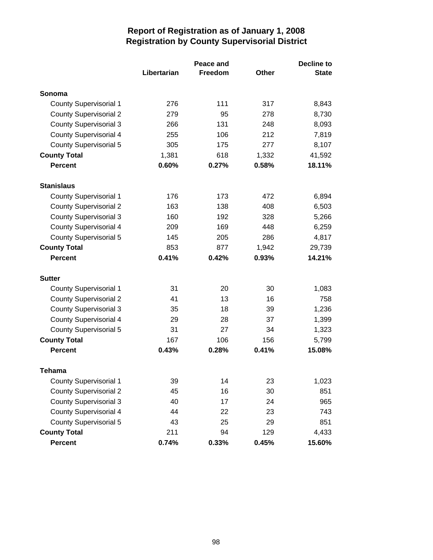|                               |             | <b>Decline to</b> |              |              |
|-------------------------------|-------------|-------------------|--------------|--------------|
|                               | Libertarian | Freedom           | <b>Other</b> | <b>State</b> |
| Sonoma                        |             |                   |              |              |
| <b>County Supervisorial 1</b> | 276         | 111               | 317          | 8,843        |
| <b>County Supervisorial 2</b> | 279         | 95                | 278          | 8,730        |
| <b>County Supervisorial 3</b> | 266         | 131               | 248          | 8,093        |
| <b>County Supervisorial 4</b> | 255         | 106               | 212          | 7,819        |
| <b>County Supervisorial 5</b> | 305         | 175               | 277          | 8,107        |
| <b>County Total</b>           | 1,381       | 618               | 1,332        | 41,592       |
| <b>Percent</b>                | 0.60%       | 0.27%             | 0.58%        | 18.11%       |
| <b>Stanislaus</b>             |             |                   |              |              |
| <b>County Supervisorial 1</b> | 176         | 173               | 472          | 6,894        |
| <b>County Supervisorial 2</b> | 163         | 138               | 408          | 6,503        |
| <b>County Supervisorial 3</b> | 160         | 192               | 328          | 5,266        |
| <b>County Supervisorial 4</b> | 209         | 169               | 448          | 6,259        |
| <b>County Supervisorial 5</b> | 145         | 205               | 286          | 4,817        |
| <b>County Total</b>           | 853         | 877               | 1,942        | 29,739       |
| <b>Percent</b>                | 0.41%       | 0.42%             | 0.93%        | 14.21%       |
| <b>Sutter</b>                 |             |                   |              |              |
| <b>County Supervisorial 1</b> | 31          | 20                | 30           | 1,083        |
| <b>County Supervisorial 2</b> | 41          | 13                | 16           | 758          |
| <b>County Supervisorial 3</b> | 35          | 18                | 39           | 1,236        |
| <b>County Supervisorial 4</b> | 29          | 28                | 37           | 1,399        |
| <b>County Supervisorial 5</b> | 31          | 27                | 34           | 1,323        |
| <b>County Total</b>           | 167         | 106               | 156          | 5,799        |
| <b>Percent</b>                | 0.43%       | 0.28%             | 0.41%        | 15.08%       |
| Tehama                        |             |                   |              |              |
| County Supervisorial 1        | 39          | 14                | 23           | 1,023        |
| <b>County Supervisorial 2</b> | 45          | 16                | 30           | 851          |
| <b>County Supervisorial 3</b> | 40          | 17                | 24           | 965          |
| <b>County Supervisorial 4</b> | 44          | 22                | 23           | 743          |
| <b>County Supervisorial 5</b> | 43          | 25                | 29           | 851          |
| <b>County Total</b>           | 211         | 94                | 129          | 4,433        |
| <b>Percent</b>                | 0.74%       | 0.33%             | 0.45%        | 15.60%       |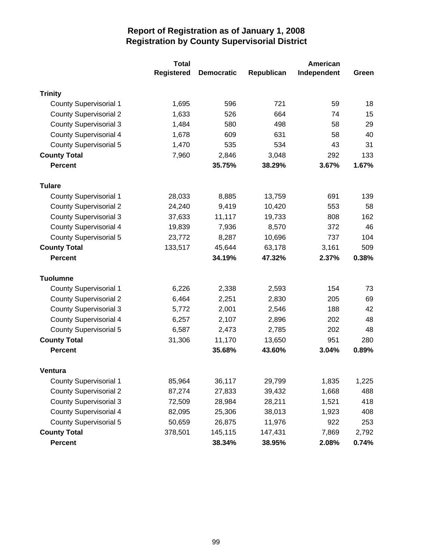|                               | <b>Total</b>      |                   |            | American    |       |  |
|-------------------------------|-------------------|-------------------|------------|-------------|-------|--|
|                               | <b>Registered</b> | <b>Democratic</b> | Republican | Independent | Green |  |
| <b>Trinity</b>                |                   |                   |            |             |       |  |
| <b>County Supervisorial 1</b> | 1,695             | 596               | 721        | 59          | 18    |  |
| <b>County Supervisorial 2</b> | 1,633             | 526               | 664        | 74          | 15    |  |
| <b>County Supervisorial 3</b> | 1,484             | 580               | 498        | 58          | 29    |  |
| <b>County Supervisorial 4</b> | 1,678             | 609               | 631        | 58          | 40    |  |
| <b>County Supervisorial 5</b> | 1,470             | 535               | 534        | 43          | 31    |  |
| <b>County Total</b>           | 7,960             | 2,846             | 3,048      | 292         | 133   |  |
| <b>Percent</b>                |                   | 35.75%            | 38.29%     | 3.67%       | 1.67% |  |
| <b>Tulare</b>                 |                   |                   |            |             |       |  |
| <b>County Supervisorial 1</b> | 28,033            | 8,885             | 13,759     | 691         | 139   |  |
| <b>County Supervisorial 2</b> | 24,240            | 9,419             | 10,420     | 553         | 58    |  |
| <b>County Supervisorial 3</b> | 37,633            | 11,117            | 19,733     | 808         | 162   |  |
| <b>County Supervisorial 4</b> | 19,839            | 7,936             | 8,570      | 372         | 46    |  |
| <b>County Supervisorial 5</b> | 23,772            | 8,287             | 10,696     | 737         | 104   |  |
| <b>County Total</b>           | 133,517           | 45,644            | 63,178     | 3,161       | 509   |  |
| <b>Percent</b>                |                   | 34.19%            | 47.32%     | 2.37%       | 0.38% |  |
| <b>Tuolumne</b>               |                   |                   |            |             |       |  |
| <b>County Supervisorial 1</b> | 6,226             | 2,338             | 2,593      | 154         | 73    |  |
| <b>County Supervisorial 2</b> | 6,464             | 2,251             | 2,830      | 205         | 69    |  |
| <b>County Supervisorial 3</b> | 5,772             | 2,001             | 2,546      | 188         | 42    |  |
| <b>County Supervisorial 4</b> | 6,257             | 2,107             | 2,896      | 202         | 48    |  |
| <b>County Supervisorial 5</b> | 6,587             | 2,473             | 2,785      | 202         | 48    |  |
| <b>County Total</b>           | 31,306            | 11,170            | 13,650     | 951         | 280   |  |
| <b>Percent</b>                |                   | 35.68%            | 43.60%     | 3.04%       | 0.89% |  |
| <b>Ventura</b>                |                   |                   |            |             |       |  |
| <b>County Supervisorial 1</b> | 85,964            | 36,117            | 29,799     | 1,835       | 1,225 |  |
| <b>County Supervisorial 2</b> | 87,274            | 27,833            | 39,432     | 1,668       | 488   |  |
| <b>County Supervisorial 3</b> | 72,509            | 28,984            | 28,211     | 1,521       | 418   |  |
| <b>County Supervisorial 4</b> | 82,095            | 25,306            | 38,013     | 1,923       | 408   |  |
| <b>County Supervisorial 5</b> | 50,659            | 26,875            | 11,976     | 922         | 253   |  |
| <b>County Total</b>           | 378,501           | 145,115           | 147,431    | 7,869       | 2,792 |  |
| <b>Percent</b>                |                   | 38.34%            | 38.95%     | 2.08%       | 0.74% |  |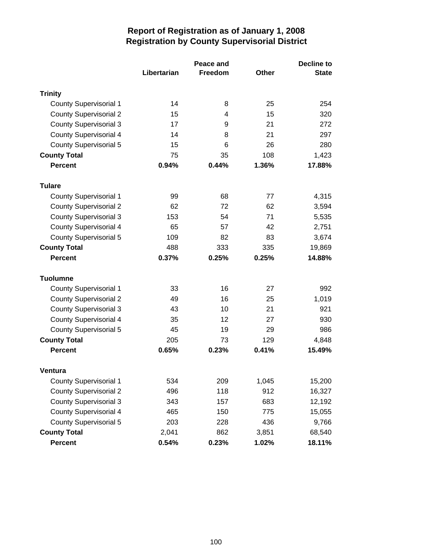|                               |             | Decline to |       |              |
|-------------------------------|-------------|------------|-------|--------------|
|                               | Libertarian | Freedom    | Other | <b>State</b> |
| <b>Trinity</b>                |             |            |       |              |
| <b>County Supervisorial 1</b> | 14          | 8          | 25    | 254          |
| <b>County Supervisorial 2</b> | 15          | 4          | 15    | 320          |
| <b>County Supervisorial 3</b> | 17          | 9          | 21    | 272          |
| <b>County Supervisorial 4</b> | 14          | 8          | 21    | 297          |
| <b>County Supervisorial 5</b> | 15          | 6          | 26    | 280          |
| <b>County Total</b>           | 75          | 35         | 108   | 1,423        |
| <b>Percent</b>                | 0.94%       | 0.44%      | 1.36% | 17.88%       |
| <b>Tulare</b>                 |             |            |       |              |
| <b>County Supervisorial 1</b> | 99          | 68         | 77    | 4,315        |
| <b>County Supervisorial 2</b> | 62          | 72         | 62    | 3,594        |
| <b>County Supervisorial 3</b> | 153         | 54         | 71    | 5,535        |
| <b>County Supervisorial 4</b> | 65          | 57         | 42    | 2,751        |
| <b>County Supervisorial 5</b> | 109         | 82         | 83    | 3,674        |
| <b>County Total</b>           | 488         | 333        | 335   | 19,869       |
| <b>Percent</b>                | 0.37%       | 0.25%      | 0.25% | 14.88%       |
| <b>Tuolumne</b>               |             |            |       |              |
| <b>County Supervisorial 1</b> | 33          | 16         | 27    | 992          |
| <b>County Supervisorial 2</b> | 49          | 16         | 25    | 1,019        |
| <b>County Supervisorial 3</b> | 43          | 10         | 21    | 921          |
| <b>County Supervisorial 4</b> | 35          | 12         | 27    | 930          |
| <b>County Supervisorial 5</b> | 45          | 19         | 29    | 986          |
| <b>County Total</b>           | 205         | 73         | 129   | 4,848        |
| <b>Percent</b>                | 0.65%       | 0.23%      | 0.41% | 15.49%       |
| <b>Ventura</b>                |             |            |       |              |
| <b>County Supervisorial 1</b> | 534         | 209        | 1,045 | 15,200       |
| <b>County Supervisorial 2</b> | 496         | 118        | 912   | 16,327       |
| <b>County Supervisorial 3</b> | 343         | 157        | 683   | 12,192       |
| <b>County Supervisorial 4</b> | 465         | 150        | 775   | 15,055       |
| <b>County Supervisorial 5</b> | 203         | 228        | 436   | 9,766        |
| <b>County Total</b>           | 2,041       | 862        | 3,851 | 68,540       |
| <b>Percent</b>                | 0.54%       | 0.23%      | 1.02% | 18.11%       |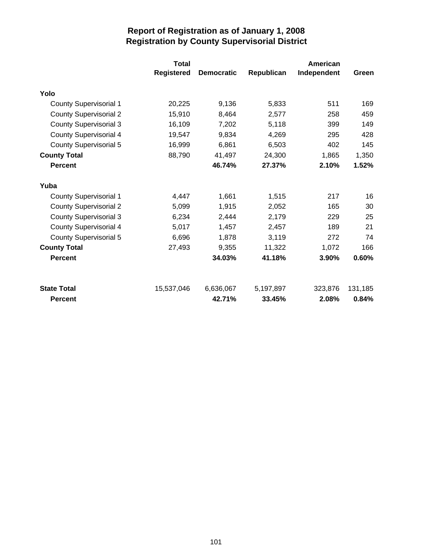|                               | <b>Total</b>      |                   | American   |             |         |  |
|-------------------------------|-------------------|-------------------|------------|-------------|---------|--|
|                               | <b>Registered</b> | <b>Democratic</b> | Republican | Independent | Green   |  |
| Yolo                          |                   |                   |            |             |         |  |
| <b>County Supervisorial 1</b> | 20,225            | 9,136             | 5,833      | 511         | 169     |  |
| <b>County Supervisorial 2</b> | 15,910            | 8,464             | 2,577      | 258         | 459     |  |
| <b>County Supervisorial 3</b> | 16,109            | 7,202             | 5,118      | 399         | 149     |  |
| <b>County Supervisorial 4</b> | 19,547            | 9,834             | 4,269      | 295         | 428     |  |
| <b>County Supervisorial 5</b> | 16,999            | 6,861             | 6,503      | 402         | 145     |  |
| <b>County Total</b>           | 88,790            | 41,497            | 24,300     | 1,865       | 1,350   |  |
| <b>Percent</b>                |                   | 46.74%            | 27.37%     | 2.10%       | 1.52%   |  |
| Yuba                          |                   |                   |            |             |         |  |
| <b>County Supervisorial 1</b> | 4,447             | 1,661             | 1,515      | 217         | 16      |  |
| <b>County Supervisorial 2</b> | 5,099             | 1,915             | 2,052      | 165         | 30      |  |
| <b>County Supervisorial 3</b> | 6,234             | 2,444             | 2,179      | 229         | 25      |  |
| <b>County Supervisorial 4</b> | 5,017             | 1,457             | 2,457      | 189         | 21      |  |
| <b>County Supervisorial 5</b> | 6,696             | 1,878             | 3,119      | 272         | 74      |  |
| <b>County Total</b>           | 27,493            | 9,355             | 11,322     | 1,072       | 166     |  |
| <b>Percent</b>                |                   | 34.03%            | 41.18%     | 3.90%       | 0.60%   |  |
| <b>State Total</b>            | 15,537,046        | 6,636,067         | 5,197,897  | 323,876     | 131,185 |  |
| <b>Percent</b>                |                   | 42.71%            | 33.45%     | 2.08%       | 0.84%   |  |